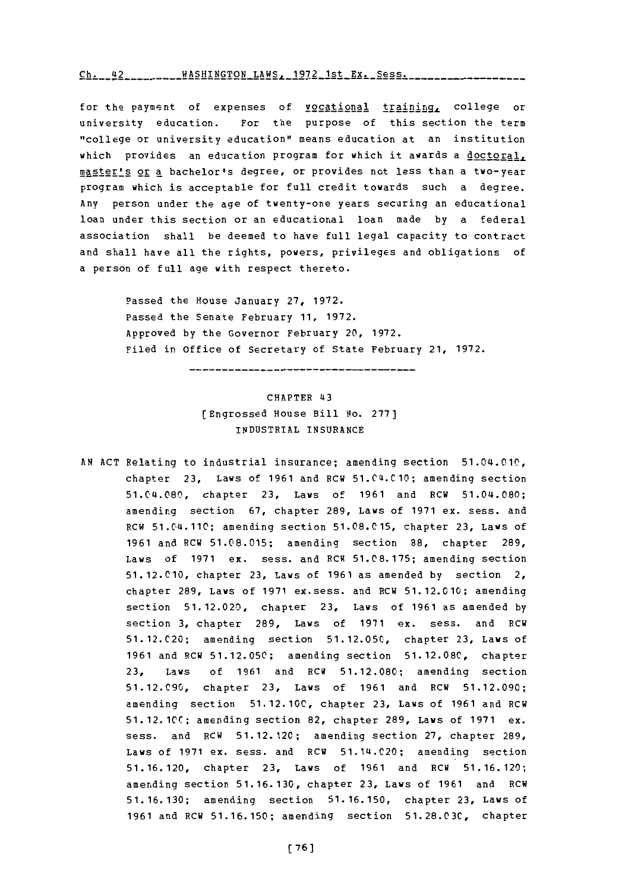**Ch------ LA- -2** -AHNGO **-q7 -h -x - Ch.** 42 **WASHTNCTON** T.AWS **1()72** l-,t **VY\_ Rpq q**

for the payment of expenses of vocational training, college or university education. For the purpose of this section the term "college or university education" means education at an institution which provides an education program for which it awards a doctoral, master's or a bachelor's degree, or provides not less than a two-year program which is acceptable for full credit towards such a degree. Any person under the age of twenty-one years securing an educational loan under this section or an educational loan made **by** a federal association shall be deemed to have full legal capacity to contract and shall have all the rights, powers, privileges and obligations of a person of full age with respect thereto.

> Passed the House January **27, 1972.** Passed the Senate February **11, 1972.** Approved **by** the Governor February 20, **1972.** Filed in office of secretary **of** State February 21, **1972.**

# CHAPTER 43 [Engrossed House Bill No. **277]** INDUSTRIAL **INSURANCE**

**AN ACT** Relating to industrial insurance; amending section 51.04.010, chapter **23,** Laws of **1961** and RCW 51.04.C10; amending section 51.04.080, chapter **23,** Laws of **1961** and RCW 51.04.080; amending section **67,** chapter **289,** Laws of **1971** ex. sess. and RCW 51.04.110; amending section **51.08.C 15,** chapter **23,** Laws of **1961** and RCW **51.08.015;** amending section **88,** chapter **289,** Laws of **1971** ex. sess. and RCW **51.08.175;** amending section **51.12.010,** chapter **23,** Laws of **1961** as amended **by** section 2, chapter **289,** Laws of **1971** ex.sess. and RCW **51.12.010;** amending section **51.12.020,** chapter **23,** Laws of **1961** as amended **by** section **3,** chapter **289,** Laws of **1971** ex. sess. and RCW **51.12.C20;** amending section **51.12.050,** chapter **23,** Laws of **1961** and RCW **51.12.050;** amending section **51.12.08C,** chapter **23,** Laws of **1961** and RCW **51.12.080;** amending section 51.12.C90, chapter **23,** Laws of **1961** and RCW **51.12.090;** amending section **51.12.10C,** chapter **23,** Laws of **1961** and RCW **51.12.10CC;** amending section 82, chapter **289,** Laws of **1971** ex. sess. and RCW **51.12.120;** amending section **27,** chapter **289,** Laws of **1971** ex. sess. and RCW 51.14.C20; amending section **51.16.120,** chapter **23,** Laws of **1961** and RCW **51.16.120;** amending section **51.16.130,** chapter **23,** Laws of **1961** and RCW **51.16.130;** amending section **51.16.150,** chapter **23,** Laws of **1961** and RCW **51.16. 150;** amending section **51.28.03C,** chapter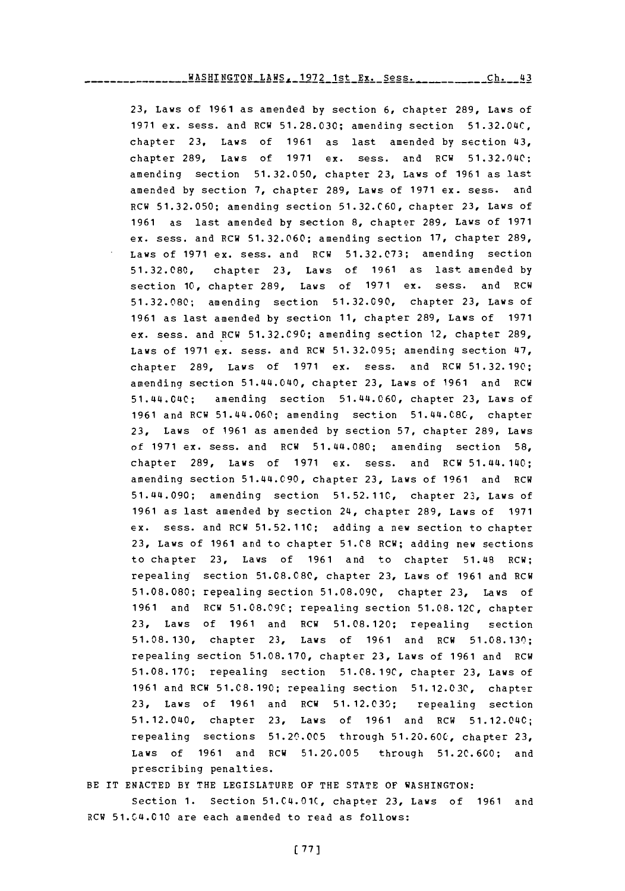**23,** Laws of **1961** as amended **by** section **6,** chapter **289,** Laws of **1971** ex. sess. and RCW **51.28.030;** amending section **51.32.04C,** chapter **23,** Laws of **1961** as last amended **by** section 43, chapter **289,** Laws of **1971** ex. sess. an~d RCW 51.32.040; amending section **51.32.050,** chapter **23,** Laws of **1961** as last amended **by** section **7,** chapter **289,** Laws of **1971** ex. sess. and RCW **51.32.050;** amending section **51.32.C60,** chapter **23,** Laws of **1961** as last amended **by** section **8,** chapter **289,** Laws of **1971** ex. sess. and RCW **51.32.060;** amending section **17,** chapter **289,** Laws of **1971** ex. sess. and RCW **51.32.C73;** amending section **51.32.080,** chapter **23,** Laws of **1961** as last amended **by** section **10,** chapter **289,** Laws of **1971** ex. sess. and RCW **51.32.080;** amending section **51.32.090,** chapter **23,** Laws of **1961** as last amended **by** section **11,** chapter **289,** Laws of **1971** ex. sess. and RCW **51.32.C90;** amending section 12, chapter **289,** Laws of **1971** ex. sess. and RCW **51.32.095;** amending section 47, chapter **289,** Laws of **1971** ex. sess. and RCW **51.32.190;** amending section 51.44.040, chapter **23,** Laws of **1961** and RCW 51.44.040; amending section 51.44.060, chapter **23,** Laws **of 1961** and RCW 51.44.060; amending section 51.44.08C, chapter **23,** Laws of **1961** as amended **by** section **57,** chapter **289,** Laws of **1971** ex. sess. and RCW 51.44.080; amending section **58,** chapter **289,** Laws of **1971** ex. sess. and RCW 51.44. 140; amending section 51.44.090, chapter **23,** Laws of **1961** and ROW 51.44.090; amending section **51.52.11C,** chapter **23,** Laws of **1961** as last amended **by** section 24, chapter **289,** Laws of **1971 ex.** sess. and RCW **51.52.11C;** adding a new section to chapter **23,** Laws of **1961** and to chapter **51.C8** ROW; adding new sections to chapter **23,** Laws of **1961** and to chapter 51.48 RCW; repealing section **51.08.080,** chapter **23,** Laws of **1961** and RCW **51.08.080;** repealing section **51.08.090,** chapter **23,** Laws of **1961** and **RCW 51.08.C9C;** repealing section **51.08. 12C,** chapter **23,** Laws of **1961** and RCW **51.08.120;** repealing section **51.08.130,** chapter **23,** Laws of **1961** and RCW **51.08.130;** repealing section **51.08.170,** chapter **23,** Laws of **1961** and ROW **51.08.170;** repealing section **51.08.19C,** chapter **23,** Laws of **1961** and RCW **51.08. 190;** repealing section **51.12.03C,** chapter **23,** Laws of **1961** and RCW **51.12.030;** repealing section 51.12.040, chapter **23,** Laws of **1961** and RCW 51.12.040; repealing sections **51.20'.005** through **51.20.60C,** chapter **23,** Laws of **1961** and PCW **51.20.005** through **51.20.600;** and prescribing penalties.

## BE IT **ENACTED** BY THE LEGISLATURE OF THE **STATE** OF **WASHINGTON:** Section **1.** Section **51.04.01C,** chapter **23,** Laws of **1961** and RCW 51.04.010 are each amended to read as follows: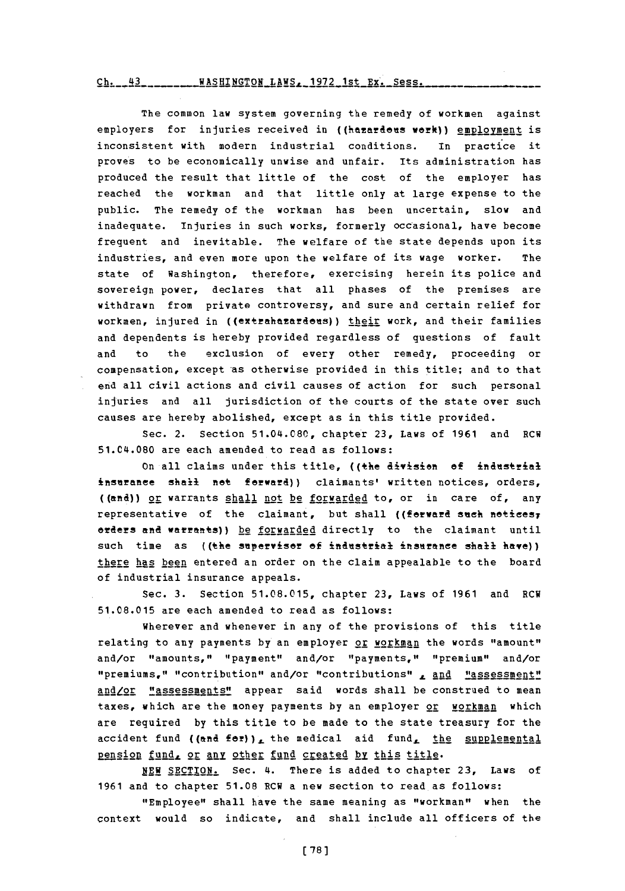### WASHINGTON LAWS, **1972** 1st EX'. Sess.

The common law system governing the remedy of workmen against employers for injuries received in ((hazardous work)) employment is inconsistent with modern industrial conditions. In practice it proves to be economically unwise and unfair. its administration has produced the result that little of the cost of the employer has reached the workman and that little only at large expense to the public. The remedy of the workman has been uncertain, slow and inadequate. Injuries in such works, formerly occasional, have become frequent and inevitable. The welfare of the state depends upon its industries, and even more upon the welfare of its wage worker. The state of Washington, therefore, exercising herein its police and sovereign power, declares that all phases of the premises are withdrawn from private controversy, and sure and certain relief for workmen, injured in ((extrahazardous)) their work, and their families and dependents is hereby provided regardless of questions of fault and to the exclusion of every other remedy, proceeding or compensation, except as otherwise provided in this title; and to that end all civil actions and civil causes of action for such personal injuries and all jurisdiction of the courts of the state over such causes are hereby abolished, except as in this title provided.

Sec. 2. Section 51.0L4.080, chapter **23,** Laws of **1961** and RCW 51.C4.080 are each amended to read as follows:

on all claims under this title, ((the division **of** idnstrial inseranee shall not forward)) claimants' written notices, orders, **((mft4)) 2E** warrants shall not be forwarded to, or in care of, any representative of the claimant, but shall ((forward such notices, orders **ein&** warrants)) be forwarded directly to the claimant until such time as ((the supervisor of industrial insurance shall have)) there has been entered an order on the claim appealable to the board of industrial insurance appeals.

Sec. **3.** Section **51.08.015,** chapter **23,** Laws of **1961** and RCW **51.08.015** are each amended to read as follows:

Wherever and whenever in any of the provisions of this title relating to any payments by an employer or workman the words "amount" and/or "amounts," "payment" and/or "payments," "premium" and/or "premiums," "contribution" and/or "contributions" , and "assessment" and/or "assessments" appear said words shall be construed to mean taxes, which are the money payments by an employer or workman which are required **by** this title to be made to the state treasury for the accident fund ((and for)), the medical aid fund, the supplemental pension fund, or any other fund created by this title.

**NEW SECTION.** Sec. 4. There is added to chapter **23,** Laws of **1961** and to chapter **51.08** RCW a new section to read as follows:

"Employee" shall have the same meaning as "workman" when the context would so indicate, and shall include all officers of the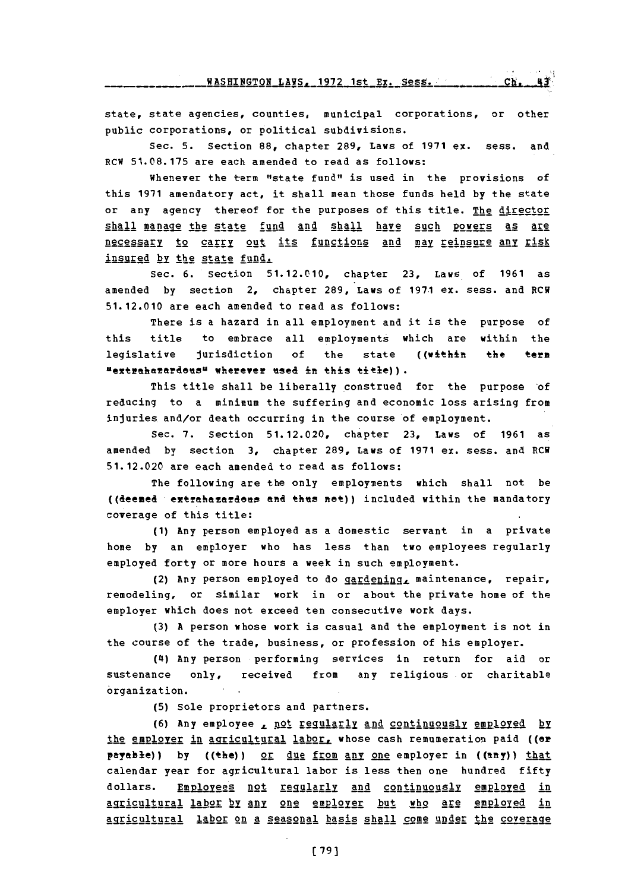state, state agencies, counties, municipal corporations, or other public corporations, or political subdivisions.

Sec. **5.** Section **88,** chapter **289,** Laws of **1971** ex. sess. and RCW **51.08.175** are each amended to read as follows:

Whenever the term "state fund" is used in the provisions of this **1971** amendatory act, it shall mean those funds held **by** the state or any agency thereof for the purposes of this title. The director shall manage the state fund and shall have such powers as are necessary to carry out its functions and may reinsure any risk insured by the state fund.

Sec. **6.** Section **51.12.010,** chapter **23,** Laws of **1961** as amended **by** section 2, chapter **289,** Laws of **197.1** ex. sess. and RCW **51. 12.010** are each amended to read as follows:

There is a hazard in all employment and it is the purpose of this title to embrace all employments which are within the legislative jurisdiction of the state ((within the term **uextrha~ardensl wherever tsed in** this **tie)).**

This title shall be liberally construed for the purpose 'of reducing to a minimum the suffering and economic loss arising from injuries and/or death occurring in the course of employment.

Sec. **7.** Section **51.12.020,** chapter **23,** Laws of **1961** as amended **by** section **3,** chapter **289,** Laws of **1971** ex. sess. and ECW **51.12.020** are each amended to read as follows:

The following are the only employments which shall not be ((deemed extrahazardous and thus not)) included within the mandatory coverage of this title:

**(1)** Any person employed as a domestic servant in a private home **by** an employer who has less than two employees regularly employed forty or more hours a week in such employment.

(2) Any person employed to do  $q$ ardening, maintenance, repair, remodeling, or similar work in or about the private home of the employer which does not exceed ten consecutive work days.

**(3) A** person whose work is casual and the employment is not in the course of the trade, business, or profession of his employer.

(4) Any person performing services in return for aid or sustenance only, received from any religious or charitable organization.

**(5)** Sole proprietors and partners.

**(6) Any employee , not requiarly and continuously employed by** the employer in agricultural labor, whose cash remumeration paid ((or payable)) by ((the)) or due from any one employer in ((any)) that calendar year for agricultural labor is less then one hundred fifty dollars. Employees not regularly and continuously employed in agricultural labor by any one employer but who are employed in agricultural labor on a seasonal basis shall come under the coverage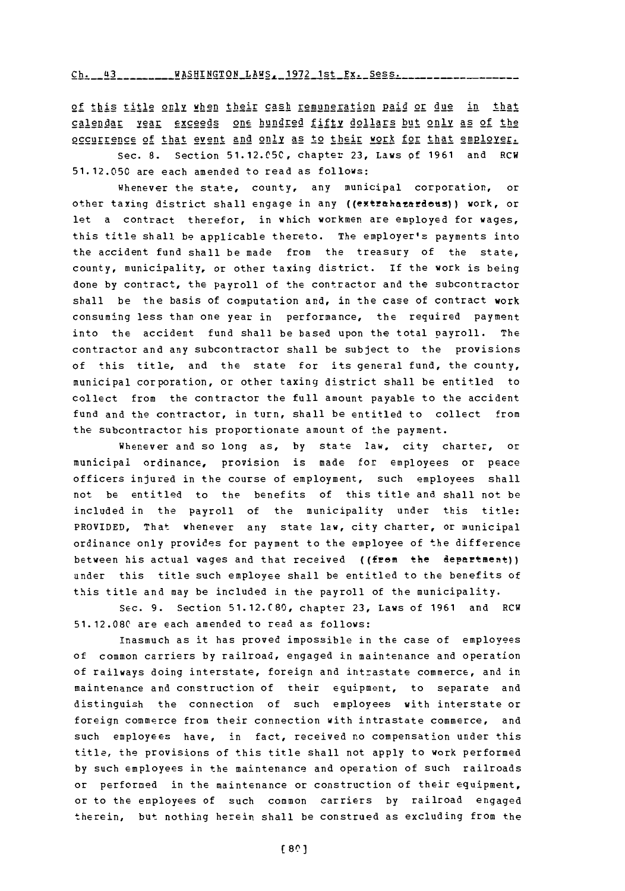WASHINGTON LAWS, **1972** 1st Ex. Sess. **Ch** <sup>43</sup>

**of** this title **only** when :their **cash remuneration Paid or due in that** calendar year exceeds one hundred fifty dollars but only as of the occurrence **of** that event **and** only! **as** to their work for that emPloyersec. **8.** Section **51.12.C5C,** chapter **23,** Laws **of 1961** and RCW

**5 1. 12.050** are each amended to read as follows:

Whenever the state, county, any municipal corporation, or other taxing district shall engage in any ((extrahazardeus)) work, or let a contract therefor, in which workmen are employed for wages, this title shall be applicable thereto. The employer's payments into the accident fund shall be made from the treasury of the state, county, municipality, or other taxing district. If the work is being done **by** contract, the payroll of the contractor and the subcontractor shall be the basis of computation and, in the case of contract work consuming less than one year in performance, the required payment into the accident fund shall be based upon the total payroll. The contractor and any subcontractor shall be subject to the provisions of this title, and the state for its general fund, the county, municipal corporation, or other taxing district shall be entitled to collect from the contractor the full amount payable to the accident fund and the contractor, in turn, shall be entitled to collect from the subcontractor his proportionate amount of the payment.

Whenever and so long as, **by** state law, city charter, or municipal ordinance, provision is made for employees or peace officers injured in the course of employment, such employees shall not be entitled to the benefits of this title and shall not be included in the payroll of the municipality under this title: PROVIDED, That whenever any state law, city charter, or municipal ordinance only provides for payment to the employee of the difference between his actual wages and that received ((from the department)) under this title such employee shall be entitled to the benefits of this title and may be included in the payroll of the municipality.

Sec. **9.** Section **51.12.C 80,** chapter **23,** Laws of **1961** and RCW **51.12.080** are each amended to read as follows:

Inasmuch as it has proved impossible in the case of employees of common carriers **by** railroad, engaged in maintenance and operation of railways doing interstate, foreign and intrastate commerce, and in maintenance and construction of their equipment, to separate and distinguish the connection of such employees with interstate or foreign commerce from their connection with intrastate commerce, and such employees have, in fact, received no compensation under this title, the provisions of this title shall not apply to work performed **by** such employees in the maintenance and operation of such railroads or performed in the maintenance or construction of their equipment, or to the employees of such common carriers **by** railroad engaged therein, but nothing herein shall be construed as excluding from the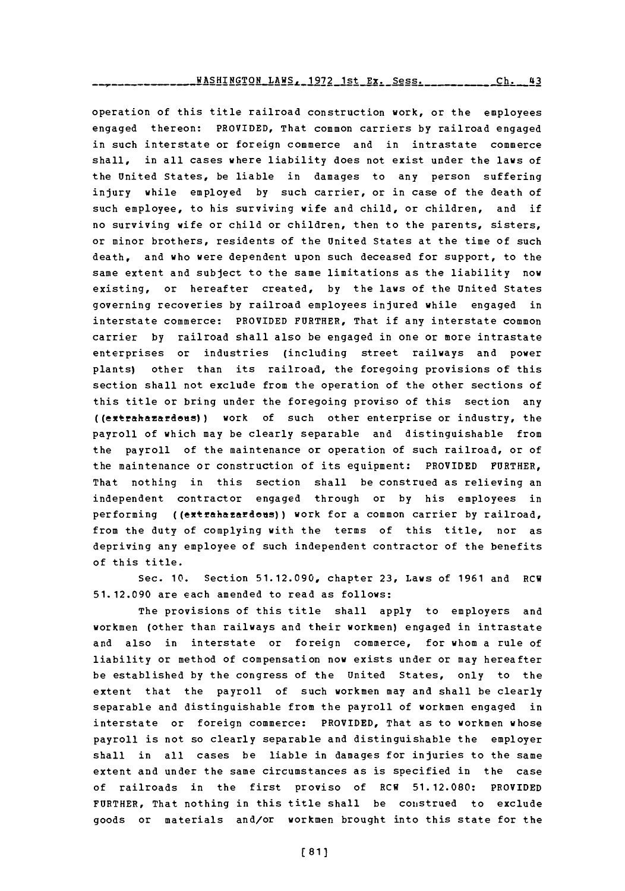**LANSHINGTON LAWS, 1972 1st Ex. Sess. 1988. Ch. 43** 

operation of this title railroad construction work, or the employees engaged thereon: PROVIDED, That common carriers **by** railroad engaged in such interstate or foreign commerce and in intrastate commerce shall, in all cases where liability does not exist under the laws of the United States, be liable in damages to any person suffering injury while employed **by** such carrier, or in case of the death of such employee, to his surviving wife and child, or children, and if no surviving wife or child or children, then to the parents, sisters, or minor brothers, residents of the United States at the time of such death, and who were dependent upon such deceased for support, to the same extent and subject to the same limitations as the liability now existing, or hereafter created, **by** the laws of the United States governing recoveries by railroad employees injured while engaged in interstate commerce: PROVIDED FURTHER, That if any interstate common carrier **by** railroad shall also be engaged in one or more intrastate enterprises or industries (including street railways and power plants) other than its railroad, the foregoing provisions of this section shall not exclude from the operation of the other sections of this title or bring under the foregoing proviso of this section any ((exehaafdes)) work of such other enterprise or industry, the payroll of which may be clearly separable and distinguishable from the payroll of the maintenance or operation of such railroad, or of the maintenance or construction of its equipment: PROVIDED FURTHER, That nothing in this section shall be construed as relieving an independent contractor engaged through or **by** his employees in performing ((extrahazardous)) work for a common carrier by railroad, from the duty of complying with the terms of this title, nor as depriving any employee of such independent contractor of the benefits of this title.

Sec. **10.** Section **51.12.090,** chapter **23,** Laws of **1961** and RCW **51.12.090** are each amended to read as follows:

The provisions of this title shall apply to employers and workmen (other than railways and their workmen) engaged in intrastate and also in interstate or foreign commerce, for whom a rule of liability or method of compensation now exists under or may hereafter be established **by** the congress of the United States, only to the extent that the payroll of such workmen may and shall be clearly separable and distinguishable from the payroll of workmen engaged in interstate or foreign commerce: PROVIDED, That as to workmen whose payroll is not so clearly separable and distinguishable the employer shall in all cases be liable in damages for injuries to the same extent and under the same circumstances as is specified in the case of railroads in the first proviso of RCW **51.12.080:** PROVIDED FURTHER, That nothing in this title shall be construed to exclude goods or materials and/or workmen brought into this state for the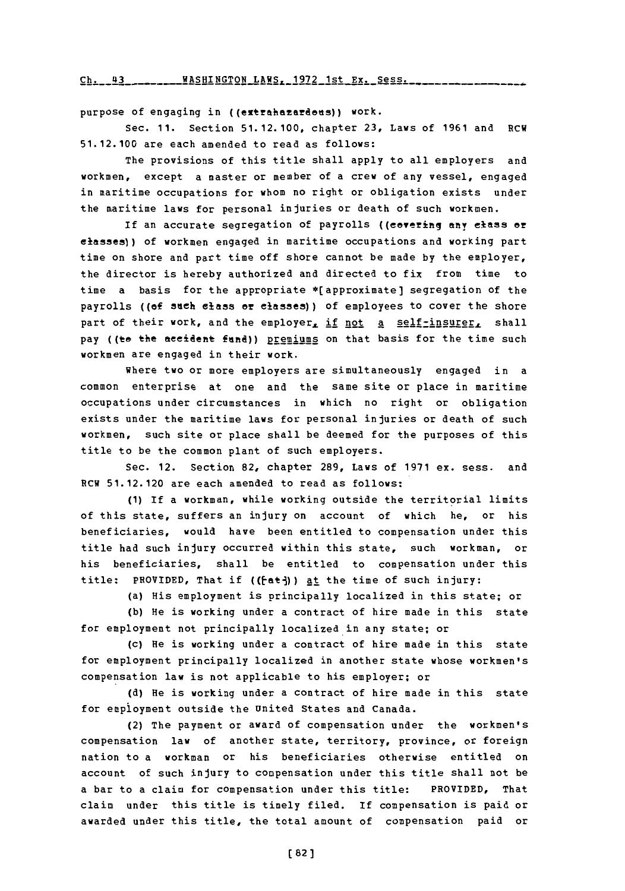**Ch.** 43 WASHINGTON **LAWS, 1972** 1st Ex. Sess.

purpose of engaging in ((extrahazardeus)) work.

Sec. **11.** Section **51.12.100,** chapter **23,** Laws of **1961** and ECH **51.12.100** are each amended to read as follows:

The provisions of this title shall apply to all employers and workmen, except a master or member of a crew of any vessel, engaged in maritime occupations for whom no right or obligation exists under the maritime laws for personal injuries or death of such workmen.

If an accurate segregation of payrolls ((covering any class or classes)) of workmen engaged in maritime occupations and working part time on shore and part time **off** shore cannot be made **by** the employer, the director is hereby authorized and directed to fix from time to time a basis for the appropriate \*(approximate] segregation **of** the payrolls **((of** sneh class or clases)) **of** employees to cover the shore part of their work, and the employer, if not a self-insurer, shall pay ((to the accident fund)) premiums on that basis for the time such workmen are engaged in their work.

where two or more employers are simultaneously engaged in a common enterprise at one and the same site or place in maritime occupations under circumstances in which no right or obligation exists under the maritime laws for personal injuries or death of such workmen, such site or place shall be deemed for the purposes of this title to be the common plant of such employers.

Sec. 12. Section 82, chapter **289,** Laws of **1971** ex. sess. and RCW **51.12.120** are each amended to read as follows:

**(1) If** a workman, while working outside the territorial limits of this state, suffers an injury on account of which he, or his beneficiaries, would have been entitled to compensation under this title had such injury occurred within this state, such workman, or his beneficiaries, shall be entitled to compensation under this title: PROVIDED, That if ( $(\text{fat})$ ) at the time of such injury:

(a) His employment is principally localized in this state; or

**(b)** He is working under a contract of hire made in this state for employment not principally localized in any state; or

(c) He is working under a contract of hire made in this state for employment principally localized in another state whose workmen's compensation law is not applicable to his employer; or

**(d)** He is working under a contract of hire made in this state for empioyment outside the United States and Canada.

(2) The payment or award of compensation under the workmen's compensation law of another state, territory, province, or foreign nation to a workman or his beneficiaries otherwise entitled on account of such injury to compensation under this title shall not be a bar to a claim for compensation under this title: PROVIDED, That claim under this title is timely filed. If compensation is paid or awarded under this title, the total amount of compensation paid or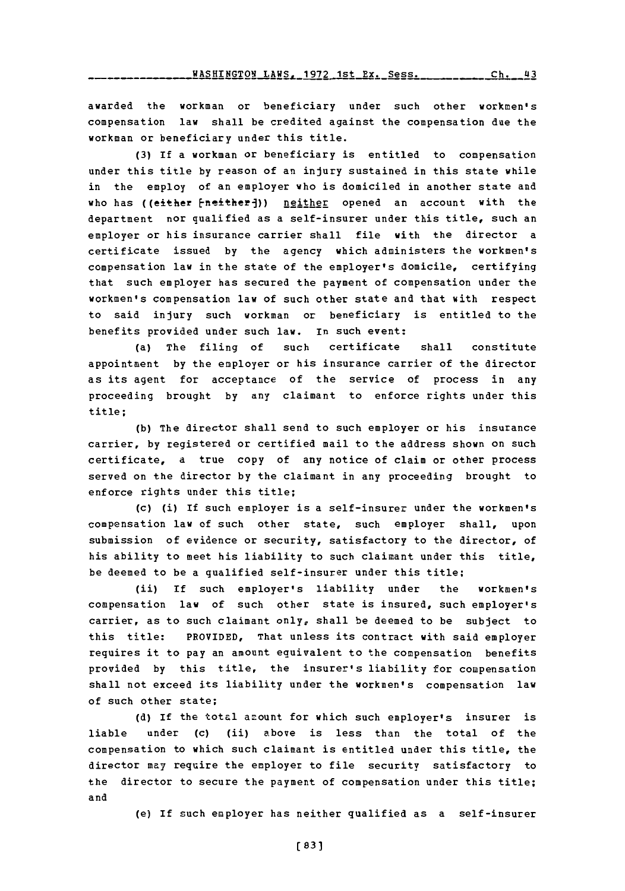**WACU7. A -1 ,** 4E -\_l **CU.** *4 <sup>a</sup>*

awarded the workman or beneficiary under such other workmen's compensation law shall be credited against the compensation due the workman or beneficiary under this title.

**(3)** If a workman or beneficiary is entitled to compensation under this title **by** reason of an injury sustained in this state while in the employ of an employer who is domiciled in another state and who has ((either fneitherj)) neither opened an account with the department nor qualified as a self-insurer under this title, such an employer or his insurance carrier shall file with the director a certificate issued **by** the agency which administers the workmen's compensation law in the state of the employer's domicile, certifying that such employer has secured the payment of compensation under the workmen's compensation law of such other state and that with respect to said injury such workman or beneficiary is entitled to the benefits provided under such law. In such event:

(a) The filing of such certificate shall constitute appointment **by** the employer or his insurance carrier of the director as its agent for acceptance of the service of process in any proceeding brought **by** any claimant to enforce rights under this title;

**(b)** The director shall send to such employer or his insurance carrier, **by** registered or certified mail to the address shown on such certificate, a true copy of any notice of claim or other process served on the director **by** the claimant in any proceeding brought to enforce rights under this title;

(c) (i) If such employer is a self-insurer under the workmen's compensation law of such other state, such employer shall, upon submission of evidence or security, satisfactory to the director, of his ability to meet his liability to such claimant under this title, be deemed to be a qualified self-insurer under this title;

(ii) If such employer's liability under the workmen's compensation law of such other state is insured, such employer's carrier, as to such claimant only, shall be deemed to be subject to this title: PROVIDED, That unless its contract with said employer requires it to pay an amount equivalent to the compensation benefits provided **by** this title, the insurer's liability for compensation shall not exceed its liability under the workmen's compensation law of such other state;

**(d) If** the total amount for which such employer's insurer is liable under (c) (ii) above is less than the total of the compensation to which such claimant is entitled under this title, the director may require the employer to file security satisfactory to the director to secure the payment of compensation under this title; and

(e) If such employer has neither qualified as a self-insurer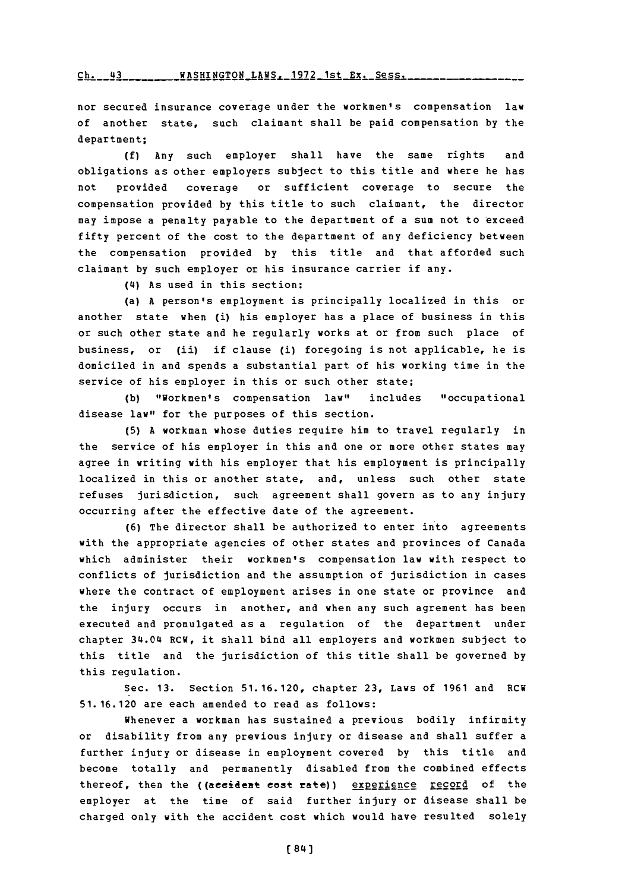### rh- **Ul** WAqHTNr.TON T.AWq- **1972** lst **Py.** Spss.

nor secured insurance coverage under the workmen's compensation law of another state, such claimant shall be paid compensation **by** the department;

**(f)** Any such employer shall have the same rights and obligations as other employers subject to this title and where he has not provided coverage or sufficient coverage to secure the compensation provided **by** this title to such claimant, the director may impose a penalty payable to the department of a sum not to exceed fifty percent of the cost to the department of any deficiency between the compensation provided **by** this title and that afforded such claimant **by** such employer or his insurance carrier if any.

(4) As used in this section:

(a) **A** person's employment is principally localized in this or another state when (i) his employer has a place of business in this or such other state and he regularly works at or from such place of business, or (ii) if clause (i) foregoing is not applicable, he is domiciled in and spends a substantial part of his working time in the service of his employer in this or such other state;

**(b)** "Workmen's compensation law" includes "occupational disease law" for the purposes of this section.

**(5) A** workman whose duties require him to travel regularly in the service of his employer in this and one or more other states may agree in writing with his employer that his employment is principally localized in this or another state, and, unless such other state refuses jurisdiction, such agreement shall govern as to any injury occurring after the effective date of the agreement.

**(6)** The director shall be authorized to enter into agreements with the appropriate agencies of other states and provinces of Canada which administer their workmen's compensation law with respect to conflicts of jurisdiction and the assumption of jurisdiction in cases where the contract of employment arises in one state or province and the injury occurs in another, and when any such agrement has been executed and promulgated as a regulation of the department under chapter 34.04 RCW, it shall bind all employers and workmen subject to this title and the jurisdiction of this title shall be governed **by** this regulation.

Sec. **13.** Section **51.16.120,** chapter **23,** Laws of **1961** and RCW **51. 16.120** are each amended to read as follows:

Whenever a workman has sustained a previous bodily infirmity or disability from any previous injury or disease and shall suffer a further injury or disease in employment covered **by** this title and become totally and permanently disabled from the combined effects thereof, then the ((accident cost rate)) experience record of the employer at the time of said further injury or disease shall be charged only with the accident cost which would have resulted solely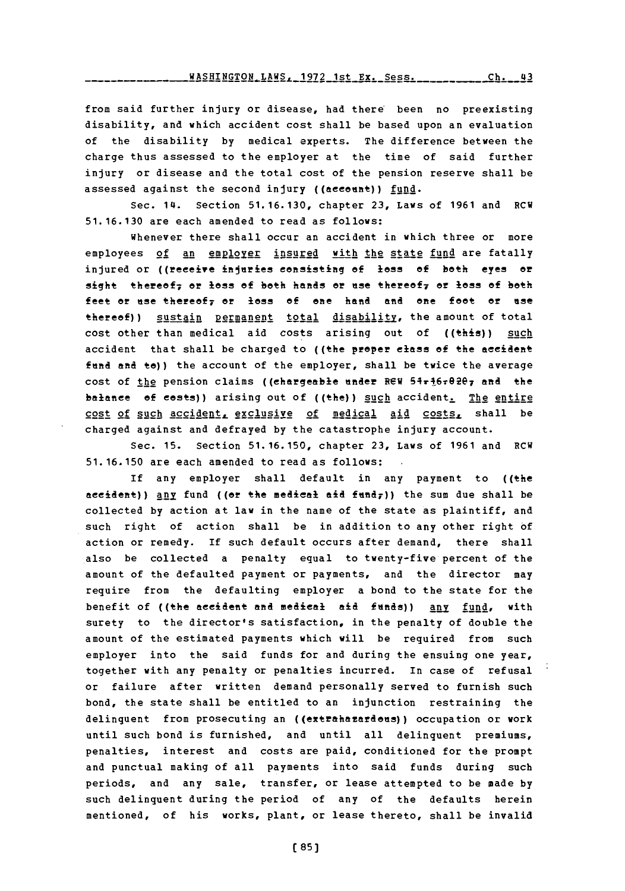from said further injury or disease, had there been no preexisting disability, and which accident cost shall be based upon an evaluation of the disability **by** medical experts. The difference between the charge thus assessed to the employer at the time of said further injury or disease and the total cost of the pension reserve shall be assessed against the second injury ((account)) fund.

Sec. 14. Section **51.16.130,** chapter **23,** Laws of **1961** and RCW **51.16.130** are each amended to read as follows:

Whenever there shall occur an accident in which three or more employees of an employer insured with the state fund are fatally injured or ((receive injuries consisting of loss of both eyes or sight thereef7 or **loss of** bath hands or use thereof7 **Of 16SS of** both feet or use thereof<sub>7</sub> or loss of one hand and one foot or use thereof)) sustain permanent total disability, the amount of total cost other than medical aid costs arising out of ((this)) such accident that shall be charged to ((the proper class of the accident fund and to)) the account of the employer, shall be twice the average cost of the pension claims ((chargeable under REW 54r16r0207 and the balance of costs)) arising out of ((the)) such accident. The entire cost of such accident. exclusive of medical aid costs, shall be charged against and defrayed **by** the catastrophe injury account.

Sec. **15.** Section **51.16. 150,** chapter **23,** Laws of **1961** and RCW **51.16.150** are each amended to read as follows:.

If any employer shall default in any payment to ((the accident)) any fund ((or the medical aid fund<sub>7</sub>)) the sum due shall be collected **by** action at law in the name of the state as plaintiff, and such right of action shall be in addition to any other right **of** action or remedy. **If** such default occurs after demand, there shall also be collected a penalty equal to twenty-five percent of the amount of the defaulted payment or payments, and the director may require from the defaulting employer a bond to the state for the benefit of ((the accident and medical aid funds)) any fund, with surety to the director's satisfaction, in the penalty of double the amount of the estimated payments which will be required from such employer into the said funds for and during the ensuing one year, together with any penalty or penalties incurred. In case of refusal or failure after written demand personally served to furnish such bond, the state shall be entitled to an injunction restraining the delinquent from prosecuting an ((extrehazardous)) occupation or work until such bond is furnished, and until all delinquent premiums, penalties, interest and costs are paid, conditioned for the prompt and punctual making of all payments into said funds during such periods, and any sale, transfer, or lease attempted to be made **by** such delinquent during the period of any of the defaults herein mentioned, of his works, plant, or lease thereto, shall be invalid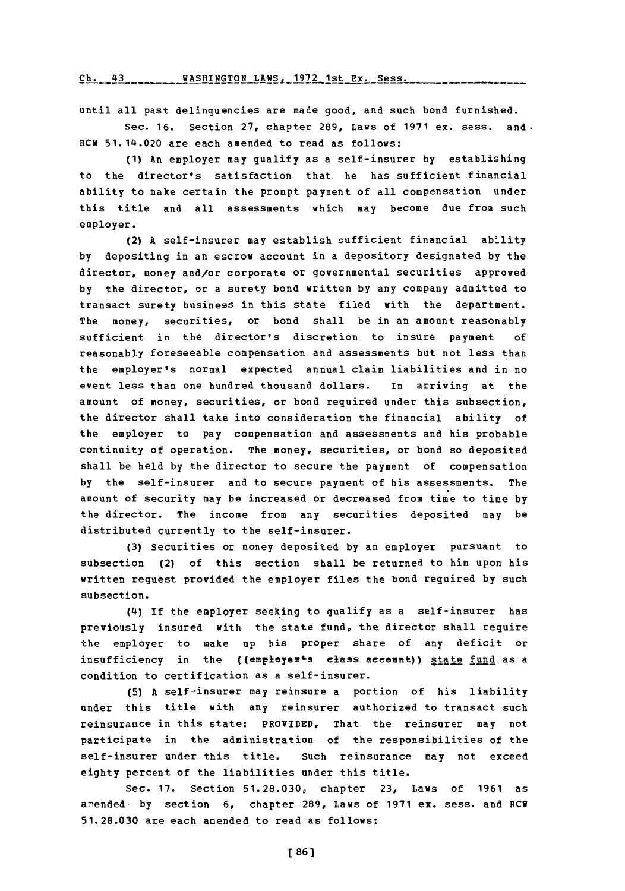Ch. 43 WASHINGTON LAWS, 1972 1st Ex. Sess.

until all past delinquencies are made good, and such bond furnished.

Sec. **16.** Section **27,** chapter **289,** Laws of **1971** ex. sess. and. RCV 51.14.020 are each amended to read as follows:

**(1)** An employer may qualify as a self-insurer **by** establishing to the director's satisfaction that he has sufficient financial ability to make certain the prompt payment of all compensation under this title and all assessments which may become due from such employer.

(2) **<sup>A</sup>**self-insurer may establish sufficient financial ability **by** depositing in an escrow account in a depository designated **by** the director, money and/or corporate or governmental securities approved **by** the director, or a surety bond written **by** any company admitted to transact surety business in this state filed with the department. The money, securities, or bond shall be in an amount reasonably sufficient in the director's discretion to insure payment **of** reasonably foreseeable compensation and assessments but not less than the employer's normal expected annual claim liabilities and in no event less than one hundred thousand dollars. In arriving at the amount of money, securities, or bond required under this subsection, the director shall take into consideration the financial ability of the employer to pay compensation and assessments and his probable continuity of operation. The money, securities, or bond so deposited shall be held **by** the director to secure the payment of compensation **by** the self-insurer and to secure payment of his assessments. The amount of security may be increased or decreased from time to time **by** the director. The income from any securities deposited may be distributed currently to the self-insurer.

**(3)** Securities or money deposited **by** an employer pursuant to subsection (2) of this section shall be returned to him upon his written reguest provided the employer files the bond required **by** such subsection.

**(4i) If** the employer seeking to qualify as a self-insurer has previously insured with the state fund, the director shall require the employer to make up his proper share of any deficit or insufficiency in the ((employer<sup>1</sup>s class acceunt)) state fund as a condition to certification as a self-insurer.

**(5) <sup>A</sup>**self-insurer may reinsure a portion of his liability under this title with any reinsurer authorized to transact such reinsurance in this state: PROVIDED, That the reinsurer may not participate in the administration of the responsibilities of the self-insurer under this title. Such reinsurance may not exceed eighty percent of the liabilities under this title.

**Sec. 17. Section 51.28.030, chapter 23, Laws of 1961 as** amended. **by** section **6,** chapter **289,** Laws of **1971** ex. sess. and **RCW 51.28.030** are each amended to read as follows: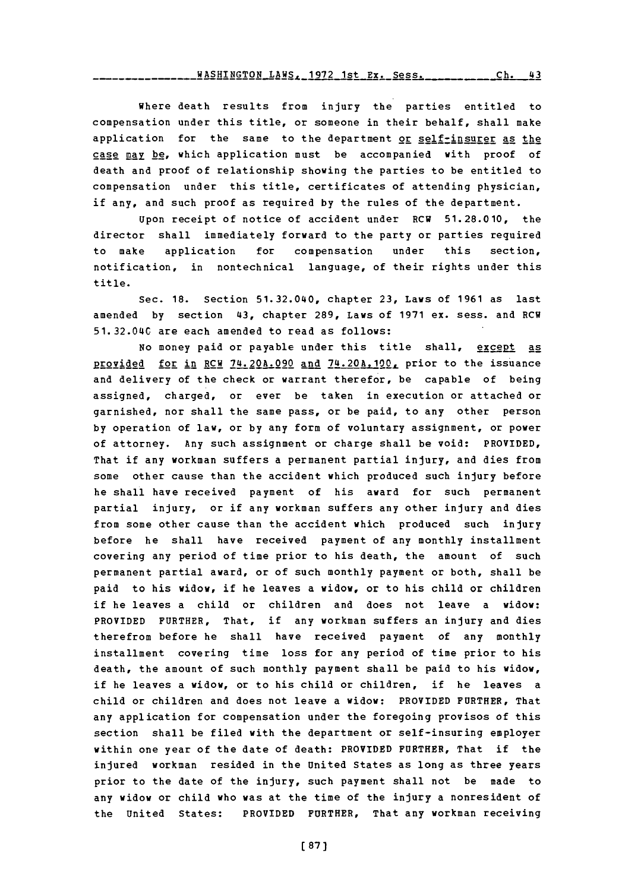Where death results from injury the parties entitled to compensation under this title, or someone in their behalf, shall make application for the same to the department or self-insurer as the case may be, which application must be accompanied with proof of death and proof of relationship showing the parties to be entitled to compensation under this title, certificates of attending physician, if any, and such proof as required **by** the rules of the department.

Upon receipt of notice of accident under RCW **51.28.010,** the director shall immediately forward to the party or parties required to make application for compensation under this section, notification, in nontechnical language, of their rights under this title.

Sec. **18.** Section 51.32.040, chapter **23,** Laws of **1961** as last amended **by** section 43, chapter **289,** Laws of **1971** ex. sess. and RCW **51.32.0L4C** are each amended to read as follows:

No money paid or payable under this title shall, except as **provided** for in RCW 74.20A.090 and 74.20A.190, prior to the issuance and delivery of the check or warrant therefor, be capable of being assigned, charged, or ever be taken in execution or attached or garnished, nor shall the same pass, or be paid, to any other person **by** operation of law, or **by** any form of voluntary assignment, or power of attorney. Any such assignment or charge shall be void: PROVIDED, That if any workman suffers a permanent partial injury, and dies from some other cause than the accident which produced such injury before he shall have received payment of his award for such permanent partial injury, or if any workman suffers any other injury and dies from some other cause than the accident which produced such injury before he shall have received payment of any monthly installment covering any period of time prior to his death, the amount of such permanent partial award, or of such monthly payment or both, shall be paid to his widow, if he leaves a widow, or to his child or children if he leaves a child or children and does not leave a widow: PROVIDED FURTHER, That, if any workman suffers an injury and dies therefrom before he shall have received payment of any monthly installment covering time loss for any period of time prior to his death, the amount of such monthly payment shall be paid to his widow, if he leaves a widow, or to his child or children, if he leaves a child or children and does not leave a widow: PROVIDED FURTHER, That any application for compensation under the foregoing provisos of this section shall be filed with the department or self-insuring employer within one year of the date of death: PROVIDED FURTHER, That if the injured workman resided in the United States as long as three years prior to the date of the injury, such payment shall not be made to any widow or child who was at the time of the injury a nonresident of the United States: PROVIDED FURTHER, That any workman receiving

[ **87)]**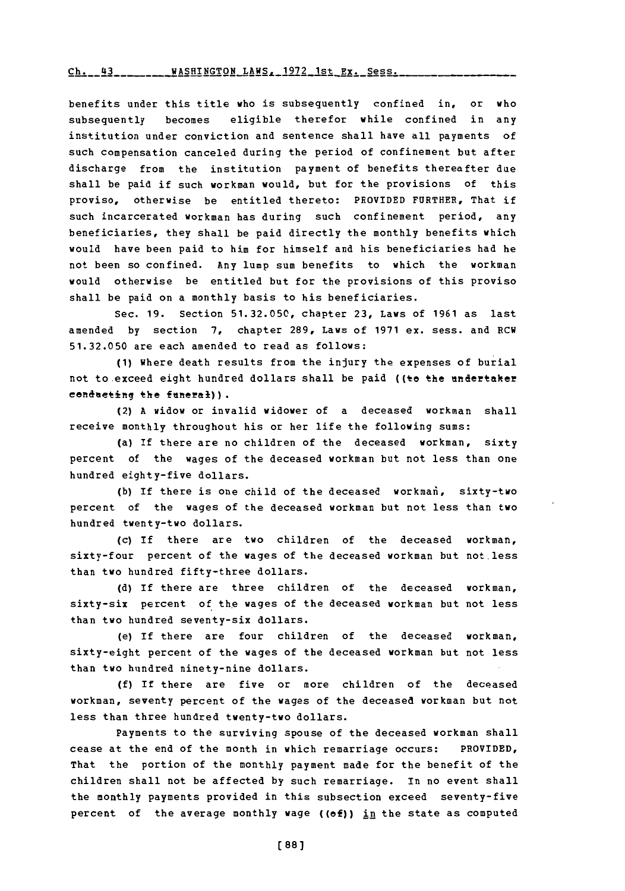## rh **U 'A** WAqRTMrZTnN T.?kW',- **197'?** l-,t **F.Y. Sess.**

benefits under this title who is subsequently confined in, or who subsequently becomes eligible therefor while confined in any institution under conviction and sentence shall have all payments of such compensation canceled during the period of confinement but after discharge from the institution payment of benefits thereafter due shall be paid if such workman would, but for the provisions of this proviso, otherwise be entitled thereto: PROVIDED FURTHER, That if such incarcerated workman has during such confinement period, any beneficiaries, they shall be paid directly the monthly benefits which would have been paid to him for himself and his beneficiaries had he not been so confined. Any lump sum benefits to which the workman would otherwise be entitled but for the provisions of this proviso shall be paid on a monthly basis to his beneficiaries.

Sec. **19.** Section **51.32.050,** chapter **23,** Laws of **1961** as last amended **by** section **7,** chapter **289,** Laws of **1971** ex. sess. and RCW **51.32.050** are each amended to read as follows:

**(1)** Where death results from the injury the expenses of burial not to exceed eight hundred dollars shall be paid ((to the undertaker cenducting the funeral)).

(2) **A** widow or invalid widower of a deceased workman shall receive monthly throughout his or her life the following sums:

(a) If there are no children of the deceased workman, sixty percent of the wages of the deceased workman but not less than one hundred eighty-five dollars.

(b) If there is one child of the deceased workman, sixty-two percent of the wages of the deceased workman but not less than two hundred twenty-two dollars.

(c) **If** there are two children of the deceased workman, sixty-four percent of the wages of the deceased workman but not less than two hundred fifty-three dollars.

**(d)** If there are three children of the deceased workman, sixty-six percent of the wages of the deceased workman but not less than two hundred seventy-six dollars.

(e) **If** there are four children of the deceased workman, sixty-eight percent of the wages of the deceased workman but not less than two hundred ninety-nine dollars.

**(f) If** there are five or more children of the deceased workman, seventy percent of the wages of the deceased workman but not less than three hundred twenty-two dollars.

Payments to the surviving spouse of the deceased workman shall cease at the end of the month in which remarriage occurs: PROVIDED, That the portion of the monthly payment made for the benefit of the children shall not be affected **by** such remarriage. In no event shall the monthly payments provided in this subsection exceed seventy-five percent of the average monthly wage ((of)) in the state as computed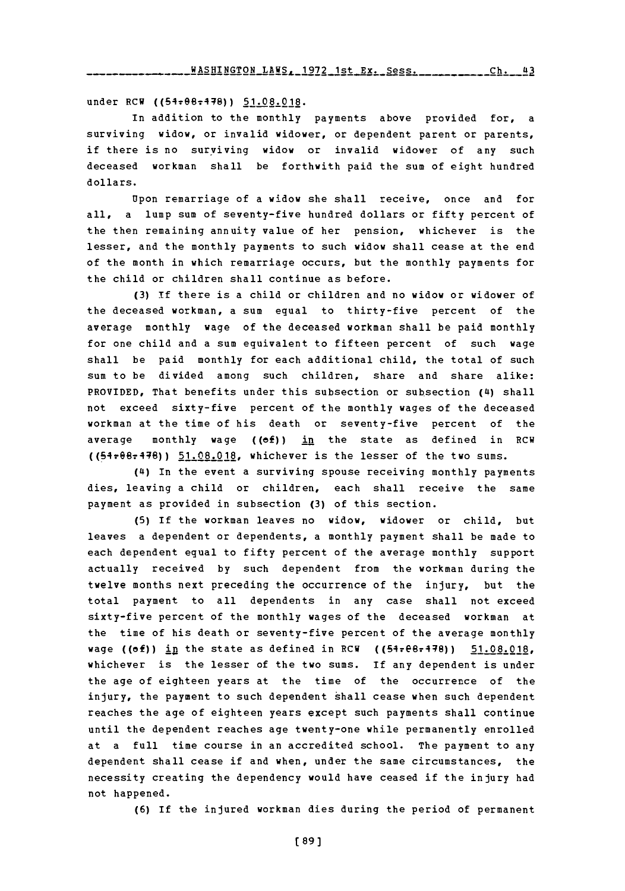under RCW ((54+08+478)) 51.08.018.

In addition to the monthly payments above provided for, a surviving widow, or invalid widower, or dependent parent or parents, if there is no surviving widow or invalid widower of any such deceased workman shall be forthwith paid the sum of eight hundred dollars.

Upon remarriage of a widow she shall receive, once and for all, a lump sum of seventy-five hundred dollars or fifty percent of the then remaining annuity value of her pension, whichever is the lesser, and the monthly payments to such widow shall cease at the end of the month in which remarriage occurs, but the monthly payments for the child or children shall continue as before.

**(3) If** there is a child or children and no widow or widower of the deceased workman, a sum equal to thirty-five percent of the average monthly wage of the deceased workman shall be paid monthly for one child and a sum equivalent to fifteen percent of such wage shall be paid monthly for each additional child, the total of such sum to be divided among such children, share and share alike: PROVIDED, That benefits under this subsection or subsection (4) shall not exceed sixty-five percent of the monthly wages of the deceased workman at the time of his death or seventy-five percent of the average monthly wage ( $(ef)$ ) in the state as defined in RCW ({5-1-e674:78)) **51.08.018,** whichever is the lesser of the two sums.

(4) In the event a surviving spouse receiving monthly payments dies, leaving a child or children, each shall receive the same payment as provided in subsection **(3)** of this section.

**(5) If** the workman leaves no widow, widower or child, but leaves a dependent or dependents, a monthly payment shall be made to each dependent equal to fifty percent of the average monthly support actually received **by** such dependent from the workman during the twelve months next preceding the occurrence of the injury, but the total payment to all dependents in any case shall not exceed sixty-five percent of the monthly wages of the deceased workman at the time of his death or seventy-five percent of the average monthly wage ((of)) in the state as defined in RCW ((54re8r478)) 51.08.018, whichever is the lesser of the two sums. If any dependent is under the age of eighteen years at the time of the occurrence of the injury, the payment to such dependent shall cease when such dependent reaches the age of eighteen years except such payments shall continue until the dependent reaches age twenty-one while permanently enrolled at a full time course in an accredited school. The payment to any dependent shall cease if and when, under the same circumstances, the necessity creating the dependency would have ceased if the injury had not happened.

**(6)** If the injured workman dies during the period of permanent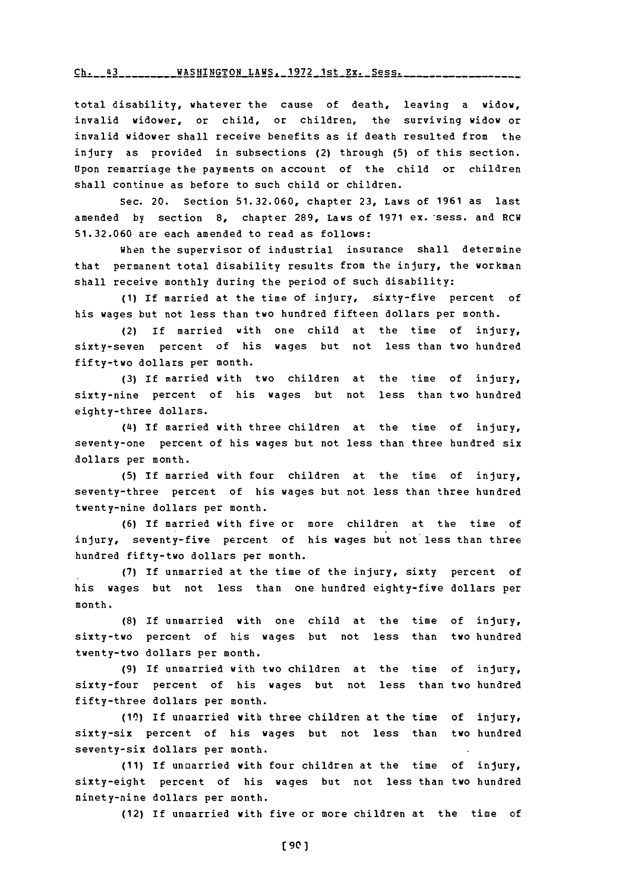#### <u>Ch. 43 \_\_\_\_\_\_\_\_WASHINGTON LAWS, 1972 1st Ex. Sess.</u>

total disability, whatever the cause of death, leaving a widow, invalid widower, or child, or children, the surviving widow or invalid widower shall receive benefits as if death resulted from the injury as provided in subsections (2) through **(5)** of this section. Upon remarriage the payments on account of the child or children shall continue as before to such child or children.

Sec. 20. Section **51.32.060,** chapter **23,** Laws of **1961** as last amended **by** section **8,** chapter **289,** Laws of **1971** ex. \*sess. and RCW **51.32.060** are each amended to read as follows:

when the supervisor of industrial insurance shall determine that permanent total disability results from the injury, the workman shall receive monthly during the period of such disability:

**(1)** If married at the time of injury, sixty-five percent of his wages but not less than two hundred fifteen dollars per month.

(2) If married with one child at the time of injury, sixty-seven percent of his wages but not less than two hundred fifty-two dollars per month.

**(3) If** married with two children at the time of injury, sixty-nine percent of his wages but not less than two hundred eighty-three dollars.

(4) **If** married with three children at the time of injury, seventy-one percent of his wages but not less than three hundred six dollars per month.

**(5) If** married with four children at the time of injury, seventy-three percent of his wages but not less than three hundred twenty-nine dollars per month.

**(6)** If married with five or more children at the time of injury, seventy-five percent of his wages but not less than three hundred fifty-two dollars per month.

**(7)** If unmarried at the time of the injury, sixty percent of his wages but not less than one hundred eighty-five dollars per month.

**(8) If** unmarried with one child at the time of injury, sixty-two percent of his wages but not less than two hundred twenty-two dollars per month.

**(9)** If unmarried with two children at the time of injury, sixty-four percent of his wages but not less than two hundred fifty-three dollars per month.

**(10) if** unmarried with three children at the time of injury, sixty,-six percent of his wages but not less than two hundred seventy-six dollars per month.

**(11)** If unoarried with four children at the time of injury, sixty-eight percent of his wages but not less than two hundred ninety-nine dollars per month.

(12) If unmarried with five or more children at the time of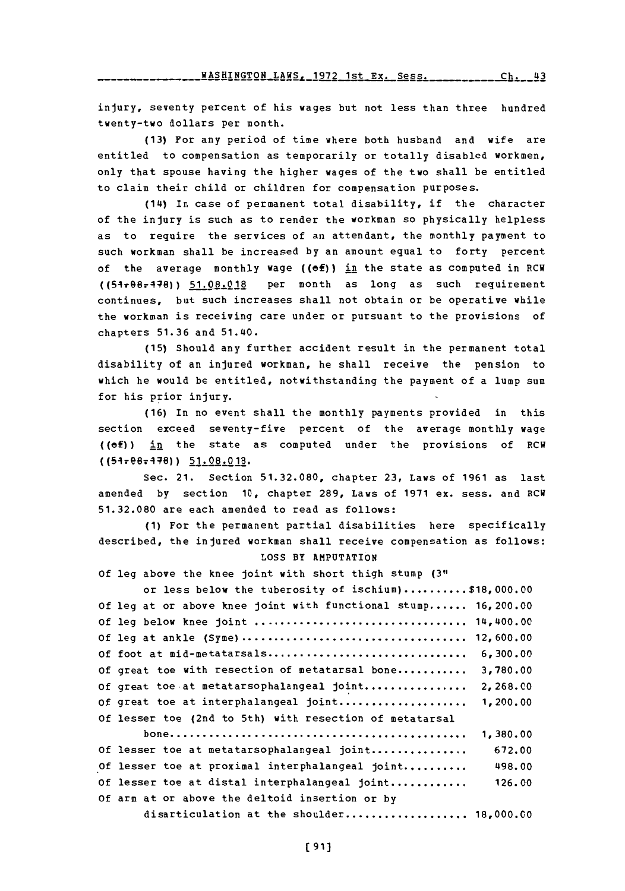**WASHTNGTON** LAWS- **1q7?** lAt **ry- goqq** rh *LLA*

injury, seventy percent of his wages but not less than three hundred twenty-two dollars per month.

**(13)** For any period of time where both husband and wife are entitled to compensation as temporarily or totally disabled workmen, only that spouse having the higher wages of the two shall be entitled to claim their child or children for compensation purposes.

(14) In case of permanent total disability, if the character of the injury is such as to render the workman so physically helpless as to require the services of an attendant, the monthly payment to such workman shall be increased **by** an amount equal to forty percent of the average monthly wage ((of)) in the state as computed in RCW ((54r66-448)) **51.08.018** per month as long as such requirement continues, but such increases shall not obtain or be operative while the workman is receiving care under or pursuant to the provisions of chapters **51.36** and 51.40.

**(15)** Should any further accident result in the permanent total disability of an injured workman, he shall receive the pension to which he would be entitled, notwithstanding the payment of a lump sum for his prior injury.

**(16)** In no event shall the monthly payments provided in this section exceed seventy-five percent of the average monthly wage ((ef)) in the state as computed under the provisions of RCW ((547ege.4-7)) **51.08.018.**

Sec. 21. Section **51.32.080,** chapter **23,** Laws of **1961** as last amended **by** section **1C,** chapter **289,** Laws of **1971** ex. sess. and RCW **51.32.080** are each amended to read as follows:

**(1)** For the permanent partial disabilities here specifically described, the injured workman shall receive compensation as follows: **LOSS** BY **AMPUTATION**

**Of** leg above the knee joint with short thigh stump **(311**

| or less below the tuberosity of ischium)\$18,000.00            |           |
|----------------------------------------------------------------|-----------|
| Of leg at or above knee joint with functional stump 16, 200.00 |           |
|                                                                |           |
| Of leg at ankle (Syme)                                         | 12,600,00 |
| Of foot at mid-metatarsals                                     | 6,300.00  |
| Of great toe with resection of metatarsal bone                 | 3,780.00  |
| Of great toe at metatarsophalangeal joint                      | 2,268.00  |
| Of great toe at interphalangeal joint                          | 1,200.00  |
| Of lesser toe (2nd to 5th) with resection of metatarsal        |           |
|                                                                | 1,380.00  |
| Of lesser toe at metatarsophalangeal joint                     | 672.00    |
| Of lesser toe at proximal interphalangeal joint                | 498.00    |
| Of lesser toe at distal interphalangeal joint                  | 126.00    |
| Of arm at or above the deltoid insertion or by                 |           |
| disarticulation at the shoulder 18,000.00                      |           |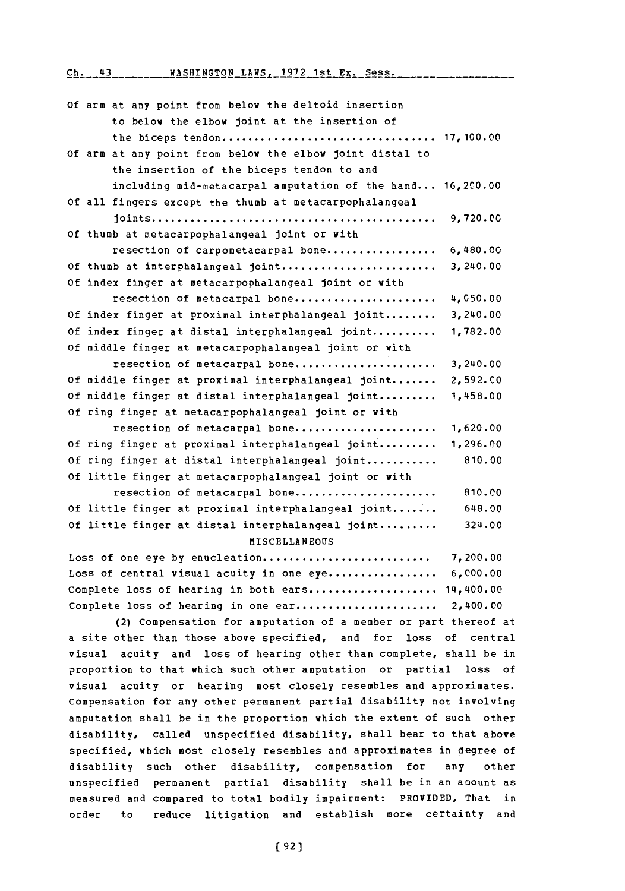Ch. 43 . . . . . . . WASHINGTON LAWS, 1972 1st **Ex.** Sess.

| Of arm at any point from below the deltoid insertion        |           |
|-------------------------------------------------------------|-----------|
| to below the elbow joint at the insertion of                |           |
|                                                             |           |
| Of arm at any point from below the elbow joint distal to    |           |
| the insertion of the biceps tendon to and                   |           |
| including mid-metacarpal amputation of the hand $16,200.00$ |           |
| Of all fingers except the thumb at metacarpophalangeal      |           |
|                                                             | 9,720.00  |
| Of thumb at metacarpophalangeal joint or with               |           |
| resection of carpometacarpal bone                           | 6,480.00  |
| Of thumb at interphalangeal joint                           | 3,240.00  |
| Of index finger at metacarpophalangeal joint or with        |           |
| resection of metacarpal bone                                | 4,050.00  |
| Of index finger at proximal interphalangeal joint           | 3,240.00  |
| Of index finger at distal interphalangeal joint             | 1,782.00  |
| Of middle finger at metacarpophalangeal joint or with       |           |
| resection of metacarpal bone                                | 3,240.00  |
| Of middle finger at proximal interphalangeal joint          | 2,592.00  |
| Of middle finger at distal interphalangeal joint            | 1,458.00  |
| Of ring finger at metacarpophalangeal joint or with         |           |
| resection of metacarpal bone                                | 1,620.00  |
| Of ring finger at proximal interphalangeal joint            | 1,296.00  |
| Of ring finger at distal interphalangeal joint              | 810.00    |
| Of little finger at metacarpophalangeal joint or with       |           |
| resection of metacarpal bone                                | 810.00    |
| Of little finger at proximal interphalangeal joint          | 648.00    |
| Of little finger at distal interphalangeal joint            | 324.00    |
| MISCELLANEOUS                                               |           |
| Loss of one eye by enucleation                              | 7,200.00  |
| Loss of central visual acuity in one eye                    | 6,000.00  |
| Complete loss of hearing in both ears                       | 14,400.00 |
| Complete loss of hearing in one ear                         | 2,400.00  |

(2) Compensation for amputation of a member or part thereof at a site other than those above specified, and for loss of central visual acuity and loss of hearing other than complete, shall be in ?roportion to that which such other amputation or partial loss of visual acuity or hearing most closely resembles and approximates. Compensation for any other permanent partial disability not involving amputation shall be in the proportion which the extent of such other disability, called unspecified disability, shall bear to that above specified, which most closely resembles and approximates in degree of disability such other disability, compensation for any other unspecified permanent partial disability shall be in an amount as measured and compared to total bodily impairment: PROVIDED, That in order to reduce litigation and establish more certainty and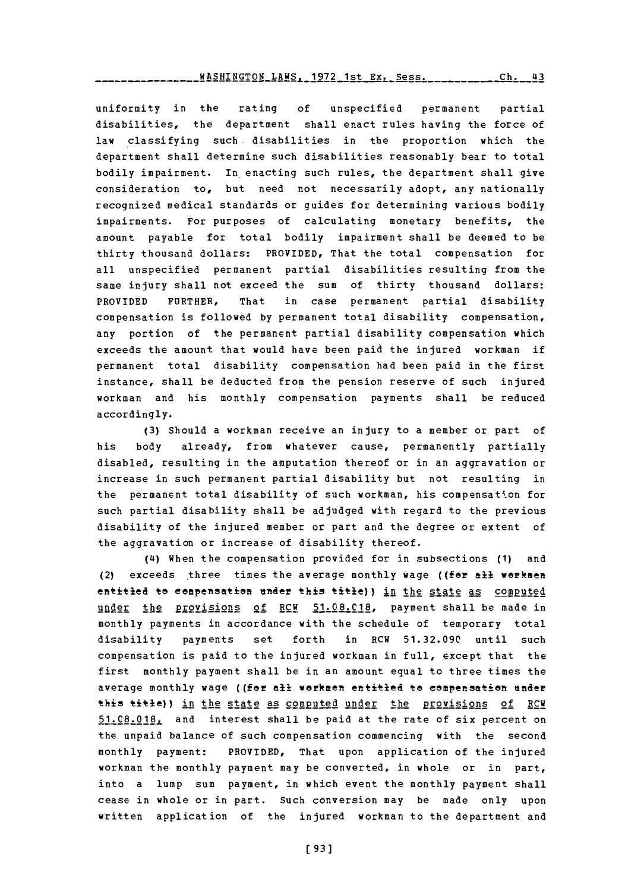$NASHINGTON_LANS$ , 1972 1st Ex. Sess. \_\_\_\_\_\_\_\_\_\_Ch. 43

uniformity in the rating **of** unspecified permanent partial disabilities, the department shall enact rules having the force of law classifying such. disabilities in the proportion which the department shall determine such disabilities reasonably bear to total bodily impairment. In enacting such rules, the department shall give consideration to, but need not necessarily adopt, any nationally recognized medical standards or guides for determining various bodily impairments. For purposes of calculating monetary benefits, the amount payable for total bodily impairment shall be deemed to be thirty thousand dollars: PROVIDED, That the total compensation for all unspecified permanent partial disabilities resulting from the same injury shall not exceed the sum of thirty thousand dollars: PROVIDED FURTHER, That in case permanent partial disability compensation is followed **by** permanent total disability compensation, any portion of the permanent partial disability compensation which exceeds the amount that would have been paid the injured workman if permanent total disability compensation had been paid in the first instance, shall be deducted from the pension reserve of such injured workman and his monthly compensation payments shall be reduced accordingly.

**(3)** Should a workman receive an injury to a member or part of his body already, from whatever cause, permanently partially disabled, resulting in the amputation thereof or in an aggravation or increase in such permanent partial disability but not resulting in the permanent total disability of such workman, his compensation for such partial disability shall be adjudged with regard to the previous disability of the injured member or part and the degree or extent of the aggravation or increase of disability thereof.

**(4i)** When the compensation provided for in subsections **(1)** and (2) exceeds three times the average monthly wage ((far **all** workmen entitled to compensation under this title)) in the state as computed under the **Provisions of RCW 51.08.C18,** payment shall be made in monthly payments in accordance with the schedule of temporary total disability payments set forth in RCW **51.32.090** until such compensation is paid to the injured workman in full, except that the first monthly payment shall be in an amount equal to three times the average monthly wage ((for all workmen entitled to compensation under this title)) in the state as computed under the provisions of RCW **51.08.018,** and interest shall be paid at the rate of six percent on the unpaid balance of such compensation commencing with the second monthly payment: PROVIDED, That upon application of the injured workman the monthly payment may be converted, in whole or in part, into a lump sum payment, in which event the monthly payment shall cease in whole or in part. Such conversion may be made only upon written application of the injured workman to the department and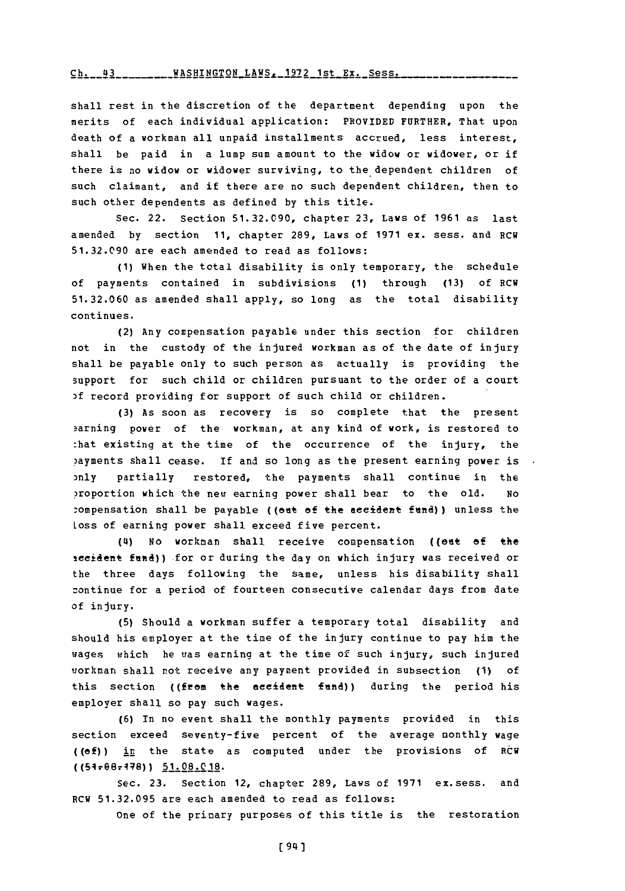### **Ch. 43 WASHTNGTON** LAWS. **1972** 1st Ex. Sess.

shall rest in the discretion of the department depending upon the merits of each individual application: PROVIDED FURTHER, That upon death of a workman all unpaid installments accrued, less interest, shall be paid in a lump sum amount to the widow or widower, or if there is no widow or widower surviving, to the dependent children of such claimant, and if there are no such dependent children, then to such other dependents as defined **by** this title.

Sec. 22. Section **51.32.090,** chapter **23,** Laws of **1961** as last amended **by** section **11,** chapter **289,** Laws of **1971** ex. sess. and RCW **51.32.090** are each amended to read as follows:

**(1)** When the total disability is only temporary, the schedule of payments contained in subdivisions **(1)** through **(13)** of RCW **51.32.060** as amended shall apply, so long as the total disability continues.

(2) Any compensation payable under this section for children not in the custody of the injured workman as of the date of injury shall be payable only to such person as actually is providing the support for such child or children pursuant to the order of a court **3f** record providing for support of such child or children.

**(3)** As soon as recovery is so complete that the present aarning power of the workman, at any kind of work, is restored to :hat existing at the time of the occurrence of the injury, the ?ayments shall cease. If and so long as the present earning power is ,nly partially restored, the payments shall continue in the ?roportion which the new earning power shall bear to the old. *No* compensation shall be payable ((out of the accident fund)) unless the Loss of earning power shall exceed five percent.

(4i) No workman shall receive compensation ((ent **of** the teeident fend)) for or during the day on which injury was received or the three days following the same, unless his disability shall zontinue for a period of fourteen consecutive calendar days from date of injury.

**(5)** Should a workman suffer a temporary total disability and should his employer at the time of the injury continue to pay him the wages which he was earning at the time of such injury, such injured workman shall not receive any payment provided in subsection **(1) of** this section ((from the accident **fund))** during the period his employer shall so pay such wages.

**(6)** In no event shall the monthly payments provided in this section exceed seventy-five percent of the average monthly wage **((of))** in the state as computed under the provisions of RCW ((54r@67478)) **51L08.0 18.**

Sec. **23.** Section 12, chapter **289,** Laws of **1971** ex.sess. and RCW **51.32.095** are each amended to read as follows:

One of the primary purposes of this title is the restoration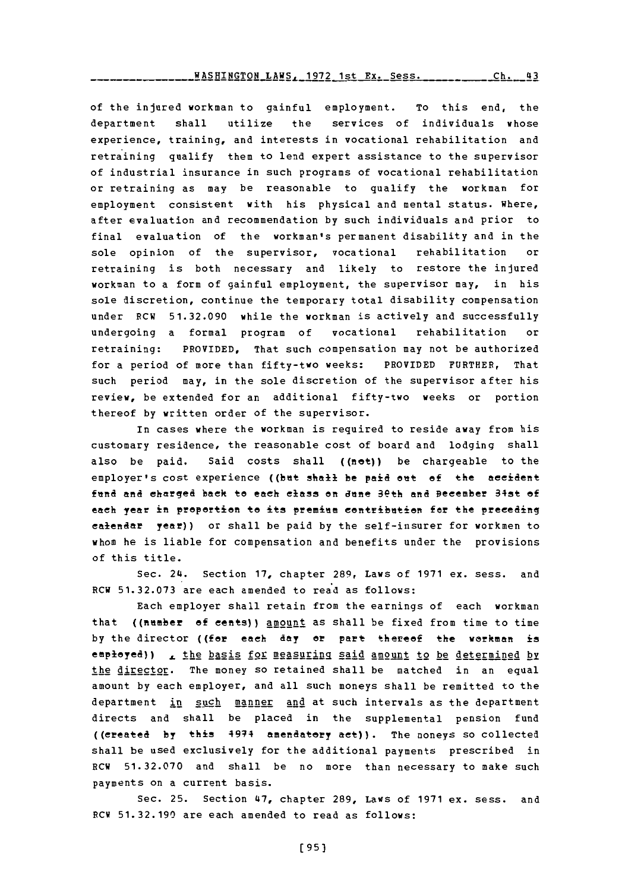of the injured workman to gainful employment. To this end, the department shall utilize the services of individuals whose experience, training, and interests in vocational rehabilitation and retraining qualify them to lend expert assistance to the supervisor of industrial insurance in such programs of vocational rehabilitation or retraining as may be reasonable to qualify the workman for employment consistent with his physical and mental status. Where, after evaluation and recommendation **by** such individuals and prior to final evaluation of the workman's permanent disability and in the sole opinion of the supervisor, vocational rehabilitation or retraining is both necessary and likely to restore the injured workman to a form of gainful employment, the supervisor may, in his sole discretion, continue the temporary total disability compensation under RCW **51.32.090** while the workman is actively and successfully undergoing a formal program of vocational rehabilitation or retraining: PROVIDED, That such compensation may not be authorized for a period of more than fifty-two weeks: PROVIDED FURTHER, That such period may, in the sole discretion of the supervisor after his review, be extended for an additional fifty-two weeks or portion thereof **by** written order of the supervisor.

In cases where the workman is required to reside away from his customary residence, the reasonable cost of board and lodging shall also be paid. Said costs shall  $(n\cdot e)$  be chargeable to the employer's cost experience ((bet shall be paid cut **of** the accident fund and charged back to each class on dune 3eth and Becember 34st of each year in proportion to its premium contribution for the preceding calendar year)) or shall be paid **by** the self-insurer for workmen to whom he is liable for compensation and benefits under the provisions of this title.

Sec. 24. Section **17,** chapter **289,** Laws of **1971** ex. sess. and RCW **51.32.073** are each amended to read as follows:

Each employer shall retain from the earnings of each workman that ((number of cents)) anount as shall be fixed from time to time by the director ((for each day or part thereof the workman is employed)) <sub>a</sub> the basis for measuring said amount to be determined by the director. The money so retained shall be matched in an equal amount **by** each employer, and all such moneys shall be remitted to the department in such manner and at such intervals as the department directs and shall be placed in the supplemental pension fund ((created **by** this 4944 amendatory aet)). The noneys so collected shall be used exclusively for the additional payments prescribed in RCW **51.32.070** and shall be no more than necessary to make such payments on a current basis.

Sec. **25.** Section 47, chapter **289,** Laws of **1971** ex. sess. and RCW **51.32.190** are each amended to read as follows: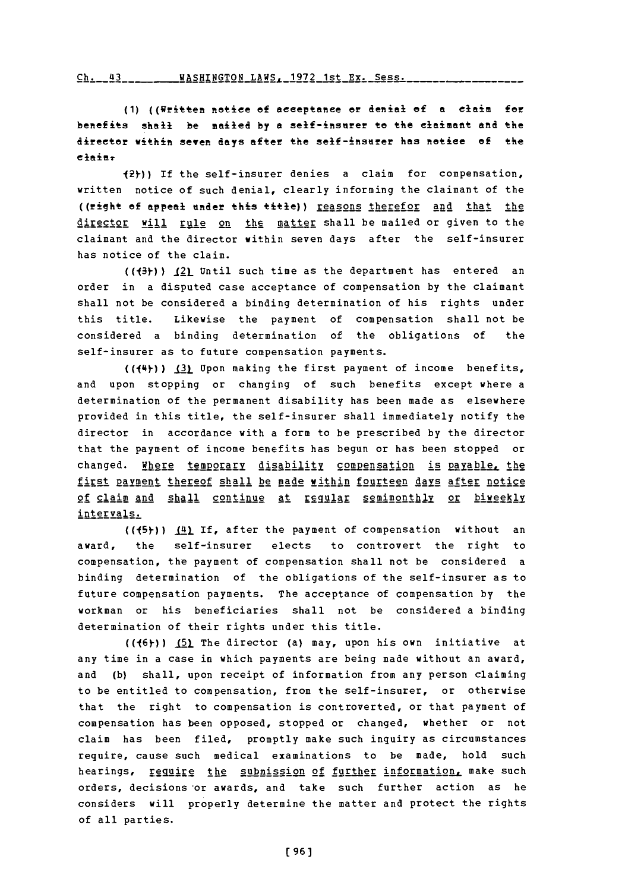#### **Cb.** 41 VA\_-;HTMrTOX LAWR. **1q72** l-,t- **Ry.** Spss.

**(1)** ((Written notice **of** acceptancee or denial of **a** claim for benefits shall be mailed **by <sup>a</sup>**self-±isnrer to the clamant and the director within seven days after the self-insurer has notice of the elaimr

12y-)) If the self-insurer denies a claim for compensation, written notice of such denial, clearly informing the claimant of the ((right of appeal under this title)) reasons therefor and that the director will rule on the matter shall be mailed or given to the claimant and the director within seven days after the self-insurer has notice of the claim.

**((13y-)) .121** Until such time as the department has entered an order in a disputed case acceptance of compensation **by** the claimant shall not be considered a binding determination of his rights under this title. Likewise the payment of compensation shall not be considered a binding determination of the obligations of the self-insurer as to future compensation payments.

(( $\{\text{+}\}\$ )) **131** Upon making the first payment of income benefits, and upon stopping or changing of such benefits except where a determination of the permanent disability has been made as elsewhere provided in this title, the self-insurer shall immediately notify the director in accordance with a form to be prescribed **by** the director that the payment of income benefits has begun or has been stopped or changed. Where temporary disability compensation is payable, the first payment thereof shall be made within fourteen days after notice of claim and shall continue at regular semimonthly or biweekly intervals.

((45)) (4) If, after the payment of compensation without an award, the self-insurer elects to controvert the right to compensation, the payment of compensation shall not be considered a binding determination of the obligations of the self-insurer as to future compensation payments. The acceptance of compensation **by** the workman or his beneficiaries shall not be considered a binding determination of their rights under this title.

**((16)-)) (5)\_** The director (a) may, upon his own initiative at any time in a case in which payments are being made without an award, and **(b)** shall, upon receipt of information from any person claiming to be entitled to compensation, from the self-insurer, or otherwise that the right to compensation is controverted, or that payment of compensation has been opposed, stopped or changed, whether or not claim has been filed, promptly make such inquiry as circumstances require, cause such medical examinations to be made, hold such hearings, require the submission of further information, make such orders, decisions 'or awards, and take such further action as he considers will properly determine the matter and protect the rights of all parties.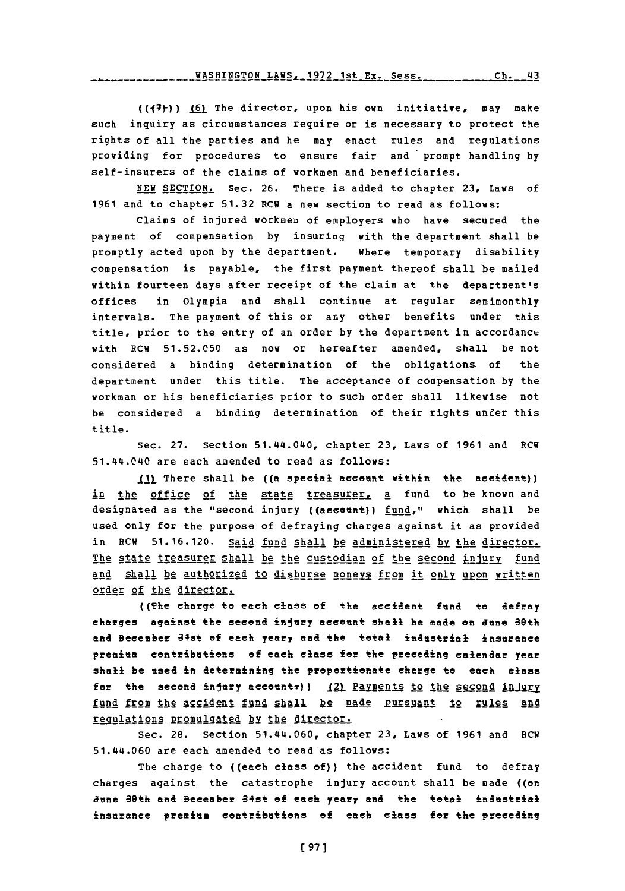**((14y)) 6)r** The director, upon his own initiative, may make such inquiry as circumstances require or is necessary to protect the rights of all the parties and he may enact rules and regulations providing for procedures to ensure fair and prompt handling **by** self-insurers of the claims of workmen and beneficiaries.

**NEW** SECTION. Sec. **26.** There is added to chapter **23,** Laws of **1961** and to chapter **51.32** RCU a new section to read as follows:

Claims of injured workmen of employers who have secured the payment of compensation **by** insuring with the department shall be promptly acted upon **by** the department. Where temporary disability compensation is payable, the first payment thereof shall'be mailed within fourteen days after receipt of the claim at the department's offices **in** Olympia and shall continue at regular semimonthly intervals. The payment of this or any other benefits under this title, prior to the entry of an order **by** the department in accordance with RCW **51.52.050** as now or hereafter amended, shall be not considered a binding determination of the obligations. of the department under this title. The acceptance of compensation **by** the workman or his beneficiaries prior to such order shall likewise not be considered a binding determination of their rights under this title.

Sec. **27.** Section 51.44.040, chapter **23,** Laws of **1961** and ECU 51.44.040 are each amended to read as follows:

**1.1)\_** There shall be **((an** special account within the accident)) in the office of the state treasurer, a fund to be known and designated as the "second injury ((aecount)) fund," which shall be used only for the purpose of defraying charges against it as provided in RCW 51.16.120. Said fund shall be administered by the director. The state treasurer shall be the custodian of the second injury fund and shall be authorized to disburse moneys from it only upon written order **of** the director..

((The charge to each class of the accident fund to defray charges against the seceond injury account shall he made an **June** 30th and Becember 34st of each year, and the total industrial insurance premium contributions of each class for the preceding calendar year shall be used in determining the proportionate charge to each class for the second injury accountr))  $121$  Payments to the second injury fund from the accident fund shall be made pursuant to rules and regulations promulgated by the director.

Sec. **28.** Section 51.144.060, chapter **23,** Laws of **1961** and ECU 51.44.060 are each amended to read as follows:

The charge to ((each class of)) the accident fund to defray charges against the catastrophe injury account shall be made ((on June 30th and Becember 34st of each year, and the total industrial insurance premium contributions of each class for the preceding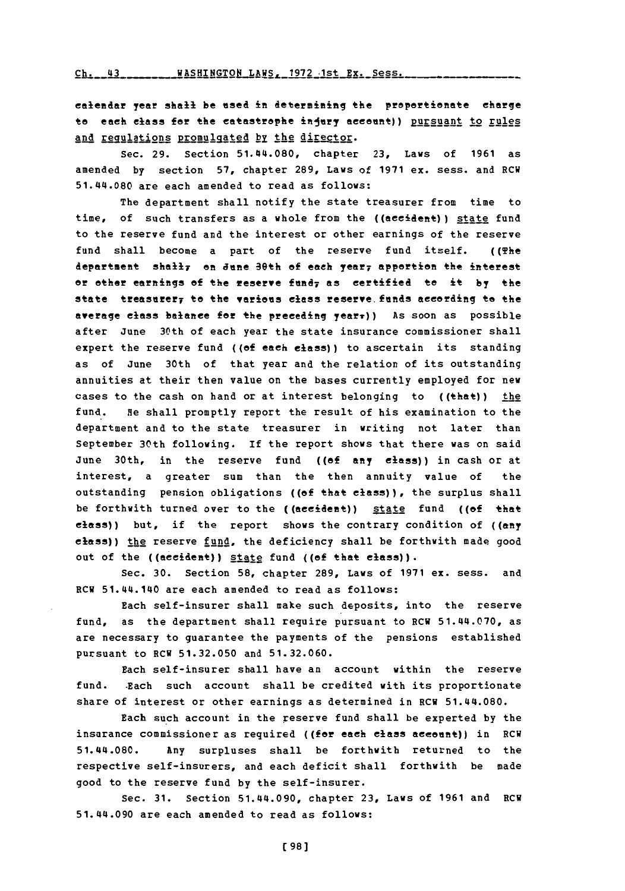Ch. 43 WASHINGTON LAWS, 1972 1st Ex. Sess.

calendar year shall be esed in determining the proportionate charge to each class for the catastrophe injury account)) pursuant to rules and regulations promulgated by the director.

Sec. **29.** Section 51.144.080, chapter **23,** Laws of **1961** as amended **by** section **57,** chapter **289,** Laws of **1971** ex. sess. and RCW 51.414.080 are each amended to read as follows:

The department shall notify the state treasurer from time to time, of such transfers as a whole from the ((accident)) state fund to the reserve fund and the interest or other earnings of the reserve fund shall become a part of the reserve fund itself. ((The department shally on June 30th of each year, apportion the interest or other earnings of the reserve **fufy as** certified to it **by** the state treasurer, to the various class reserve funds according to the average class balance for the preceding yearr)) As soon as possible after June 30th of each year the state insurance commissioner shall expert the reserve fund ((of each class)) to ascertain its standing as of June 30th of that year and the relation of its outstanding annuities at their then value on the bases currently employed for new cases to the cash on hand or at interest belonging to ((that)) the fund. He shall promptly report the result of his examination to the department and to the state treasurer in writing not later than September 30th following. If the report shows that there was on said June 30th, in the reserve fund **((of** any class)) in cash or at interest, a greater sum than the then annuity value of the outstanding pension obligations ((of that class)), the surplus shall be forthwith turned over to the ((acident)) state fund **((of** that class)) but, if the report shows the contrary condition of ((any  $e$ **lass))** the reserve fund, the deficiency shall be forthwith made good out of the ((accident)) state fund ((of that class)).

Sec. **30.** Section **58,** chapter **289,** Laws of **1971** ex. sess. and ECW 51.144.140 are each amended to read as follows:

Each self-insurer shall make such deposits, into the reserve fund, as the department shall require pursuant to RCH 51.44.070, as are necessary to guarantee the payments of the pensions established pursuant to RCW **51.32.050** and **51.32.060.**

Each self-insurer shall have an account within the reserve fund. .Each such account shall be credited with its proportionate share of interest or other earnings as determined in RCV 51.144.080.

Each such account in the reserve fund shall be experted **by** the insurance commissioner as required ((for each class account)) in RCW 51.44.080. Any surpluses shall be forthwith returned to the respective self-insurers, and each deficit shall forthwith be made good to the reserve fund **by** the self-insurer.

Sec. **31.** Section 51.44.090, chapter **23,** Laws **of 1961** and **RCW** 51.44.090 are each amended to read as follows: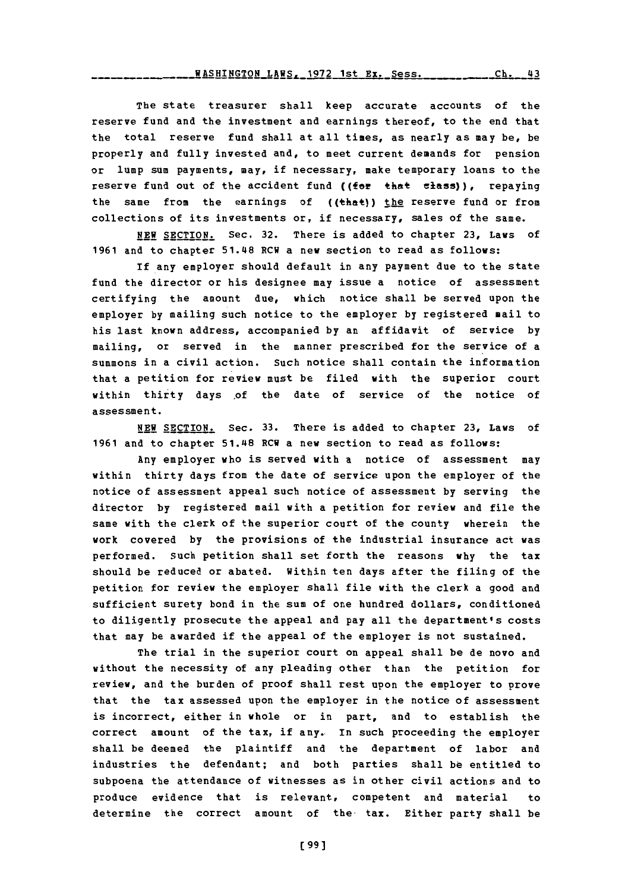**WASHINGTON LAWS, 1972 1st Ex. Sess.** \_\_\_\_\_\_\_\_\_\_\_Ch. 43

The state treasurer shall keep accurate accounts of the reserve fund and the investment and earnings thereof, to the end that the total reserve fund shall at all times, as nearly as may **be,** be properly and fully invested and, to meet current demands for pension or lump sum payments, may, if necessary, make temporary loans to the reserve fund out of the accident fund ((for that class)), repaying the same from the earnings of ((that)) the reserve fund or from collections of its investments or, if necessary, sales of the same.

**NEW** SECTION. Sec. **32.** There is added to chapter **23,** Laws of 1961 and to chapter 51.48 RCW a new section to read as follows:

If any employer should default in any payment due to the state fund the director or his designee may issue a notice of assessment certifying the amount due, which notice shall be served upon the employer **by** mailing such notice to the employer **by** registered mail to his last known address, accompanied **by** an affidavit of service **by** mailing, or served in the manner prescribed for the service of a summons in a civil action. Such notice shall contain the information that a petition for review must be filed with the superior court within thirty days of the date of service of the notice of assessment.

**NEW** SECTION. Sec. **33.** There is added to chapter **23,** Laws of **1961** and to chapter 51.48 RCW a new section to read as follows:

Any employer who is served with a notice of assessment may within thirty days from the date of service upon the employer of the notice of assessment appeal such notice of assessment **by** serving the director **by** registered mail with a petition for review and file the same with the clerk of the superior court of the county wherein the work covered **by** the provisions of the industrial insurance act was performed. Such petition shall set forth the reasons **why** the tax should be reduced or abated. Within ten days after the filing of the petition for review the employer shall file with the clerk a good and sufficient surety bond in the sum of one hundred dollars, conditioned to diligently prosecute the appeal and pay all the department's costs that may be awarded if the appeal of the employer is not sustained.

The trial in the superior court on appeal shall be de novo and without the necessity of any pleading other than the petition for review, and the burden of proof shall rest upon the employer to prove that the tax assessed upon the employer in the notice of assessment is incorrect, either in whole or in part, and to establish the correct amount of the tax, if any. In such proceeding the employer shall be deemed the plaintiff and the department of labor and industries the defendant; and both parties shall **be** entitled to subpoena the attendance of witnesses as in other civil actions and to produce evidence that is relevant, competent and material to determine the correct amount of the tax. Either party shall be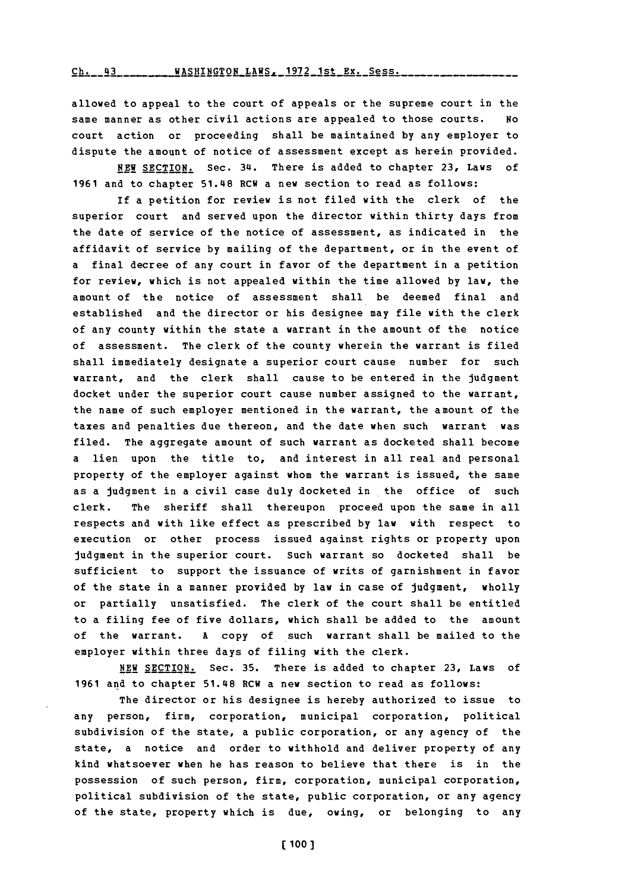allowed to appeal to the court of appeals or the supreme court in the same manner as other civil actions are appealed to those courts. No court action or proceeding shall be maintained **by** any employer to dispute the amount of notice of assessment except as herein provided.

**NEW** SECTION. Sec. 34. There is added to chapter **23,** Laws of **1961** and to chapter 51.48 RCW a new section to read as follows:

**if** a petition for review is not filed with the clerk of the superior court and served upon the director within thirty days from the date of service of the notice of assessment, as indicated in the affidavit of service **by** mailing of the department, or in the event of a final decree of any court in favor of the department in a petition for review, which is not appealed within the time allowed by law, the amount of the notice of assessment shall be deemed final and established and the director or his designee may file with the clerk of any county within the state a warrant in the amount of the notice of assessment. The clerk of the county wherein the warrant is filed shall immediately designate a superior court cause number for such warrant, and the clerk shall cause to be entered in the judgment docket under the superior court cause number assigned to the warrant, the name of such employer mentioned in the warrant, the amount of the taxes and penalties due thereon, and the date when such warrant was filed. The aggregate amount of such warrant as docketed shall become a lien upon the title to, and interest in all real and personal property of the employer against whom the warrant is issued, the same as a judgment in a civil case duly docketed in the office of such clerk. The sheriff shall thereupon proceed upon the same in all respects and with like effect as prescribed **by** law with respect to execution or other process issued against rights or property upon judgment in the superior court. Such warrant so docketed shall be sufficient to support the issuance of writs of garnishment in favor of the state in a manner provided **by** law in case of judgment, wholly or partially unsatisfied. The clerk of the court shall be entitled to a filing fee of five dollars, which shall be added to the amount of the warrant. **A** copy of such warrant shall be mailed to the employer within three days of filing with the clerk.

**NEW** SECTION. Sec. **35.** There is added to chapter **23,** Laws of **1961** and to chapter 51.48 RCW a new section to read as follows:

The director or his designee is hereby authorized to issue to any person, firm, corporation, municipal corporation, political subdivision of the state, a public corporation, or any agency of the state, a notice and order to withhold and deliver property of any kind whatsoever when he has reason to believe that there is in the possession of such person, firm, corporation, municipal corporation, political subdivision of the state, public corporation, or any agency of the state, property which is due, owing, or belonging to any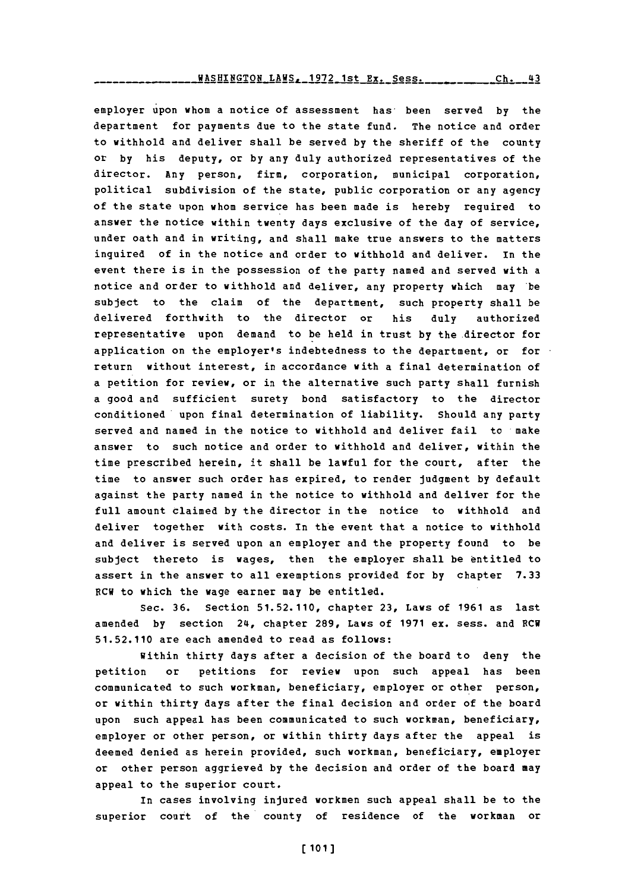employer upon whom a notice of assessment has, been served **by** the department for payments due to the state fund. The notice and order to withhold and deliver shall be served **by** the sheriff of the county or **by** his deputy, or **by** any duly authorized representatives of the director. Any person, firm, corporation, municipal corporation, political subdivision of the state, public corporation or any agency of the state upon whom service has been made is hereby required to answer the notice within twenty days exclusive of the day of service, under oath and in writing, and shall make true answers to the matters inquired of in the notice and order to withhold and deliver. In the event there is in the possession of the party named and served with a notice and order to withhold and deliver, any property which may 'be subject to the claim of the department, such property shall be delivered forthwith to the director or his duly authorized representative upon demand to be held in trust **by** the director for application on the employer's indebtedness to the department, or for return without interest, in accordance with a final determination of a petition for review, or in the alternative such party shall furnish a good and sufficient surety bond satisfactory to the director conditioned upon final determination of liability. Should any party served and named in the notice to withhold and deliver fail to make answer to such notice and order to withhold and deliver, within the time prescribed herein, it shall be lawful for the court, after the time to answer such order has expired, to render judgment **by** default against the party named in the notice to withhold and deliver for the full amount claimed **by** the director in the notice to withhold and deliver together with costs. In the event that a notice to withhold and deliver is served upon an employer and the property found to be subject thereto is wages, then the employer shall be entitled to assert in the answer to all exemptions provided for **by** chapter **7.33** RCW to which the wage earner may be entitled.

Sec. **36.** Section **51.52.110,** chapter **23,** Laws of **1961** as last amended **by** section 24, chapter **289,** Laws of **1971** ex. sess. and **ECW 51.52.110** are each amended to read as follows:

within thirty days after a decision of the board to deny the petition or petitions for review upon such appeal has been communicated to such workman, beneficiary, employer or other person, or within thirty days after the final decision and order of the board upon such appeal has been communicated to such workman, beneficiary, employer or other person, or within thirty days after the appeal is deemed denied as herein provided, such workman, beneficiary, employer or other person aggrieved **by** the decision and order of the board may appeal to the superior court.

In cases involving injured workmen such appeal shall be to the superior court of the county of residence of the workman or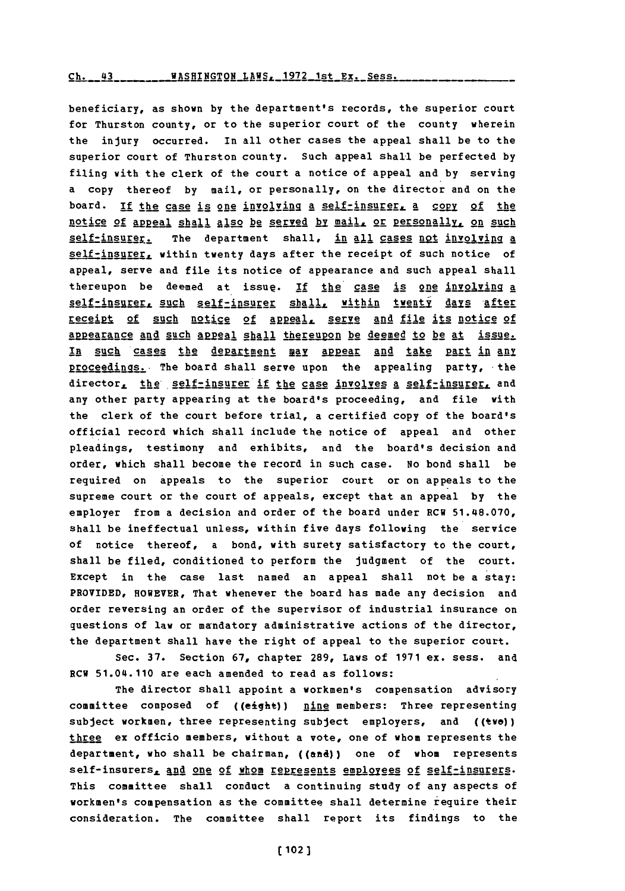### Ch. 43 WASHINGTON LAWS, 1972 1st Ex. Sess.

beneficiary, as shown **by** the department's records, the superior court for Thurston county, or to the superior court of the county wherein the injury occurred. In all other cases the appeal shall be to the superior court of Thurston county. Such appeal shall be perfected **by** filing with the clerk of the court a notice of appeal and **by** serving a copy thereof **by** mail, or personally, on the director and on the board. If the case is one involving a self-insurer, a copy of the notice of appeal shall also be served by mail, or personally, on such self-insurer. The department shall, in all cases not involving a self-insurer, within twenty days after the receipt of such notice of appeal, serve and file its notice of appearance and such appeal shall thereupon be deemed at issue. If the case is one involving a self-insurer, such self-insurer shall, within twenty days after receipt of such notice of appeal, serve and file its notice of appearance and such appeal shall thereupon be deemed to be at issue. In such cases the department may appear and take part in any proceedings. The board shall serve upon the appealing party, the director, the self-insurer if the case involves a self-insurer, and any other party appearing at the board's proceeding, and file with the clerk of the court before trial, a certified copy of the board's official record which shall include the notice of appeal and other pleadings, testimony and exhibits, and the board's decision and order, which shall become the record in such case. No bond shall be required on appeals to the superior court or on appeals to the supreme court or the court of appeals, except that an appeal **by** the employer from a decision and order of the board under RCW 51.48.070, shall be ineffectual unless, within five days following the service of notice thereof, a bond, with surety satisfactory to the court, shall be filed, conditioned to perform the judgment of the court. Except in the case last named an appeal shall not be a stay: PROVIDED, HOWEVER, That whenever the board has made any decision and order reversing an order of the supervisor of industrial insurance on questions of law or mandatory administrative actions of the director, the department shall have the right of appeal to the superior court.

Sec. **37.** Section **67,** chapter **289,** Laws of **1971** ex. sess. and ECW 51.04.110 are each amended to read as follows:

The director shall appoint a workmen's compensation advisory committee composed of ((eight)) nine members: Three representing subject workmen, three representing subject employers, and ((two)) three ex officio members, without a vote, one of whom represents the department, who shall be chairman, ((and)) one of whom represents self-insurers, and one of whom represents employees of self-insurers. This committee shall conduct a continuing study of any aspects of workmen's compensation as the committee shall determine require their consideration. The committee shall report its findings to the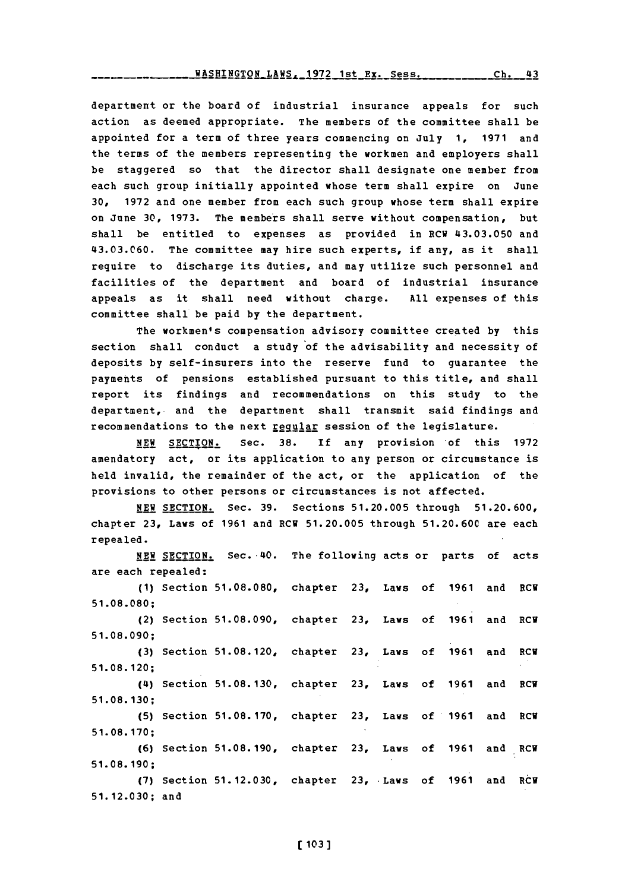**WASHINGTON** LAWS, **1972** 1st EX. Sess.

department or the board of industrial insurance appeals for such action as deemed appropriate. The members of the committee shall be appointed for a term of three years commencing on July **1, 1971** and the terms of the members representing the workmen and employers shall be staggered so that the director shall designate one member from each such group initially appointed whose term shall expire on June **30, 1972** and one member from each such group whose term shall expire on June **30, 1973.** The members shall serve without compensation, but shall be entitled to expenses as provided in RCW 43.03.050 and **43.03.C60.** The committee may hire such experts, if any, as it shall require to discharge its duties, and may utilize such personnel and facilities of the department and board of industrial insurance appeals as it shall need without charge. **All** expenses of this committee shall be paid **by** the department.

The workmen's compensation advisory committee created by this section shall conduct a study of the advisability and necessity of deposits **by** self-insurers into the reserve fund to guarantee the payments of pensions established pursuant to this title, and shall report its findings and recommendations on this study to the department, and the department shall transmit said findings and recommendations to the next requiar session of the legislature.

**NEW SECTION.** Sec. **38.** If any provision of this **<sup>1972</sup>** amendatory act, or its application to any person or circumstance is held invalid, the remainder of the act, or the application of the provisions to other persons or circumstances is not affected.

**NEW** SECTION. Sec. **39.** Sections **51.20.005** through **51.20.600,** chapter **23,** Laws of **1961** and ECU **51.20.005** through **51.20.60C** are each repealed.

**NEW** SECTION. Sec. 40. The following acts or parts of acts are each repealed: **(1)** Section **51.08.080,** chapter **23,** Laws of **1961** and ECU **51.08.080;** (2) Section **51.08.090,** chapter **23,** Laws of **1961** and RCU **51. 08. 090; (3)** Section **51.08.120,** chapter **23,** Laws of **1961** and ECU **51. 08. 120;** (4) Section **51.08.130,** chapter **23,** Laws of **1961** and ECU **51.08. 130; (5)** Section **51.08.170,** chapter **23,** Laws of **1961** and ECU **51.08.170; (6)** Section **51.08.190,** chapter **23,** Laws of **1961** and ECU **51. 08. 190; (7)** Section **51.12.030,** chapter **23,** -Laws of **1961** and ECU **51.12.030;** and